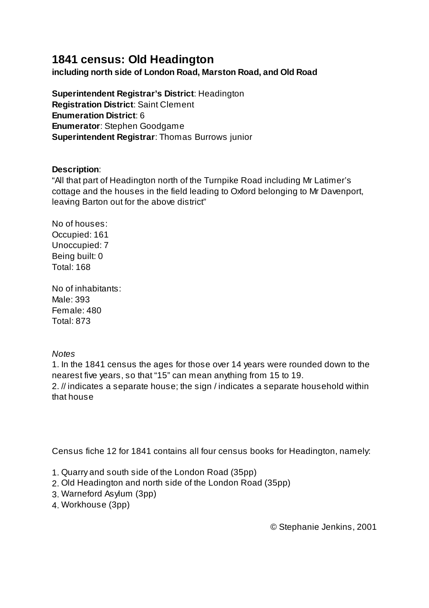## **1841 census: Old Headington**

**including north side of London Road, Marston Road, and Old Road**

**Superintendent Registrar's District**: Headington **Registration District**: Saint Clement **Enumeration District**: 6 **Enumerator**: Stephen Goodgame **Superintendent Registrar**: Thomas Burrows junior

## **Description**:

"All that part of Headington north of the Turnpike Road including Mr Latimer's cottage and the houses in the field leading to Oxford belonging to Mr Davenport, leaving Barton out for the above district"

No of houses: Occupied: 161 Unoccupied: 7 Being built: 0 Total: 168

No of inhabitants: Male: 393 Female: 480 Total: 873

## *Notes*

1. In the 1841 census the ages for those over 14 years were rounded down to the nearest five years, so that "15" can mean anything from 15 to 19. 2. // indicates a separate house; the sign / indicates a separate household within that house

Census fiche 12 for 1841 contains all four census books for Headington, namely:

- 1. Quarry and south side of the London Road (35pp)
- 2. Old Headington and north side of the London Road (35pp)
- 3. Warneford Asylum (3pp)
- 4. Workhouse (3pp)

© Stephanie Jenkins, 2001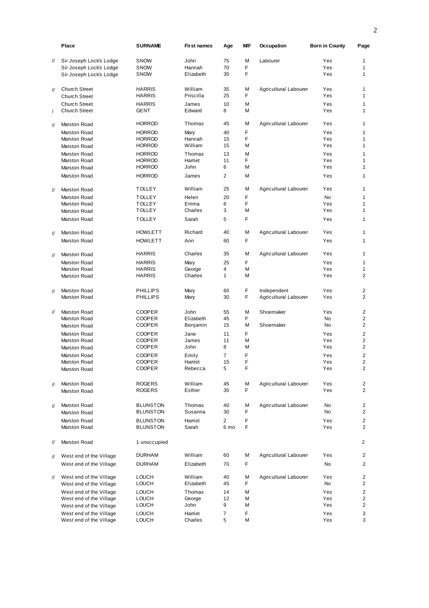|                   | <b>Place</b>                 | <b>SURNAME</b>                     | <b>First names</b> | Age                    | МF     | Occupation            | <b>Born in County</b> | Page                             |
|-------------------|------------------------------|------------------------------------|--------------------|------------------------|--------|-----------------------|-----------------------|----------------------------------|
| $^{\prime\prime}$ | Sir Joseph Lock's Lodge      | <b>SNOW</b>                        | John               | 75                     | M      | Labourer              | Yes                   | 1                                |
|                   | Sir Joseph Lock's Lodge      | <b>SNOW</b>                        | Hannah             | 70                     | F      |                       | Yes                   | 1                                |
|                   | Sir Joseph Lock's Lodge      | <b>SNOW</b>                        | Elizabeth          | 35                     | F      |                       | Yes                   | $\mathbf{1}$                     |
| $^{\prime\prime}$ | <b>Church Street</b>         | <b>HARRIS</b>                      | William            | 35                     | M      | Agricultural Labourer | Yes                   | 1                                |
|                   | <b>Church Street</b>         | <b>HARRIS</b>                      | Priscilla          | 25                     | F      |                       | Yes                   | $\mathbf{1}$                     |
|                   | Church Street                | <b>HARRIS</b>                      | James              | 10                     | M      |                       | Yes                   | $\mathbf{1}$                     |
| $\sqrt{2}$        | <b>Church Street</b>         | GENT                               | Edward             | 8                      | M      |                       | Yes                   | 1                                |
| $^{\prime\prime}$ | Marston Road                 | <b>HORROD</b>                      | Thomas             | 45                     | M      | Agricultural Labourer | Yes                   | 1                                |
|                   | Marston Road                 | <b>HORROD</b>                      | Mary               | 40                     | F      |                       | Yes                   | 1                                |
|                   | Marston Road                 | <b>HORROD</b>                      | Hannah             | 15                     | F      |                       | Yes                   | $\mathbf{1}$                     |
|                   | Marston Road                 | <b>HORROD</b>                      | William            | 15                     | M      |                       | Yes                   | $\mathbf{1}$                     |
|                   | Marston Road                 | <b>HORROD</b>                      | Thomas             | 13                     | M      |                       | Yes                   | 1                                |
|                   | Marston Road                 | <b>HORROD</b>                      | Harriet            | 11                     | F      |                       | Yes                   | $\mathbf{1}$                     |
|                   | Marston Road                 | <b>HORROD</b>                      | John               | 6                      | М      |                       | Yes                   | $\mathbf{1}$                     |
|                   | Marston Road                 | <b>HORROD</b>                      | James              | $\overline{2}$         | M      |                       | Yes                   | 1                                |
|                   | Marston Road                 | <b>TOLLEY</b>                      | William            | 25                     | M      | Agricultural Labourer | Yes                   | 1                                |
| $^{\prime\prime}$ |                              |                                    |                    |                        |        |                       |                       |                                  |
|                   | Marston Road                 | <b>TOLLEY</b><br><b>TOLLEY</b>     | Helen<br>Emma      | 20<br>6                | F<br>F |                       | <b>No</b><br>Yes      | 1<br>1                           |
|                   | Marston Road                 | <b>TOLLEY</b>                      | Charles            | 3                      | M      |                       | Yes                   | $\mathbf{1}$                     |
|                   | Marston Road                 |                                    |                    |                        |        |                       |                       |                                  |
|                   | Marston Road                 | <b>TOLLEY</b>                      | Sarah              | 5                      | F      |                       | Yes                   | 1                                |
| $^{\prime\prime}$ | Marston Road                 | <b>HOWLETT</b>                     | Richard            | 40                     | M      | Agricultural Labourer | Yes                   | 1                                |
|                   | Marston Road                 | <b>HOWLETT</b>                     | Ann                | 60                     | F      |                       | Yes                   | 1                                |
| $\prime\prime$    | Marston Road                 | <b>HARRIS</b>                      | Charles            | 35                     | M      | Agricultural Labourer | Yes                   | 1                                |
|                   | Marston Road                 | <b>HARRIS</b>                      | Mary               | 25                     | F      |                       | Yes                   | 1                                |
|                   | Marston Road                 | <b>HARRIS</b>                      | George             | 4                      | M      |                       | Yes                   | $\mathbf{1}$                     |
|                   | Marston Road                 | <b>HARRIS</b>                      | Charles            | $\mathbf{1}$           | M      |                       | Yes                   | 2                                |
| $\prime\prime$    | Marston Road                 | <b>PHILLIPS</b>                    | Mary               | 60                     | F      | Independent           | Yes                   | 2                                |
|                   | Marston Road                 | <b>PHILLIPS</b>                    | Mary               | 30                     | F      | Agricultural Labourer | Yes                   | $\overline{2}$                   |
| $^{\prime\prime}$ | Marston Road                 | <b>COOPER</b>                      | John               | 55                     | M      | Shoemaker             | Yes                   | 2                                |
|                   | Marston Road                 | <b>COOPER</b>                      | Elizabeth          | 45                     | F      |                       | <b>No</b>             | $\overline{2}$                   |
|                   | Marston Road                 | <b>COOPER</b>                      | Benjamin           | 15                     | M      | Shoemaker             | <b>No</b>             | $\overline{2}$                   |
|                   | Marston Road                 | <b>COOPER</b>                      | Jane               | 11                     | F      |                       | Yes                   | $\overline{2}$                   |
|                   | Marston Road                 | <b>COOPER</b>                      | James              | 11                     | M      |                       | Yes                   | $\overline{2}$                   |
|                   | Marston Road                 | <b>COOPER</b>                      | John               | 8                      | M      |                       | Yes                   | $\overline{2}$                   |
|                   | Marston Road                 | <b>COOPER</b>                      | Emily              | $\overline{7}$         | F      |                       | Yes                   | 2                                |
|                   | Marston Road                 | COOPER                             | Harriet            | 15                     | F      |                       | Yes                   | $\overline{2}$                   |
|                   | Marston Road                 | COOPER                             | Rebecca            | 5                      | F      |                       | Yes                   | 2                                |
| $\prime\prime$    | Marston Road                 | ROGERS                             | William            | 45                     | M      | Agricultural Labourer | Yes                   | 2                                |
|                   | Marston Road                 | ROGERS                             | Esther             | 35                     | F      |                       | Yes                   | $\overline{2}$                   |
|                   |                              |                                    |                    |                        |        |                       |                       |                                  |
| $\mathcal{U}$     | Marston Road                 | <b>BLUNSTON</b>                    | Thomas             | 40                     | M<br>F | Agricultural Labourer | No                    | 2                                |
|                   | Marston Road                 | <b>BLUNSTON</b>                    | Susanna            | 30                     |        |                       | No                    | $\overline{2}$                   |
|                   | Marston Road<br>Marston Road | <b>BLUNSTON</b><br><b>BLUNSTON</b> | Harriet<br>Sarah   | $\overline{2}$<br>6 mo | F<br>F |                       | Yes<br>Yes            | $\overline{2}$<br>$\overline{2}$ |
|                   |                              |                                    |                    |                        |        |                       |                       |                                  |
| $^{\prime\prime}$ | Marston Road                 | 1 unoccupied                       |                    |                        |        |                       |                       | 2                                |
| $^{\prime\prime}$ | West end of the Village      | DURHAM                             | William            | 60                     | М      | Agricultural Labourer | Yes                   | 2                                |
|                   | West end of the Village      | DURHAM                             | Elizabeth          | 70                     | F      |                       | No                    | $\overline{2}$                   |
| $\frac{1}{2}$     | West end of the Village      | <b>LOUCH</b>                       | William            | 40                     | М      | Agricultural Labourer | Yes                   | $\overline{2}$                   |
|                   | West end of the Village      | LOUCH                              | Elizabeth          | 45                     | F      |                       | No                    | 2                                |
|                   | West end of the Village      | <b>LOUCH</b>                       | Thomas             | 14                     | M      |                       | Yes                   | $\overline{2}$                   |
|                   | West end of the Village      | <b>LOUCH</b>                       | George             | 12                     | М      |                       | Yes                   | 2                                |
|                   | West end of the Village      | <b>LOUCH</b>                       | John               | 9                      | M      |                       | Yes                   | 2                                |
|                   | West end of the Village      | <b>LOUCH</b>                       | Harriet            | 7                      | F      |                       | Yes                   | 3                                |
|                   | West end of the Village      | LOUCH                              | Charles            | 5                      | M      |                       | Yes                   | 3                                |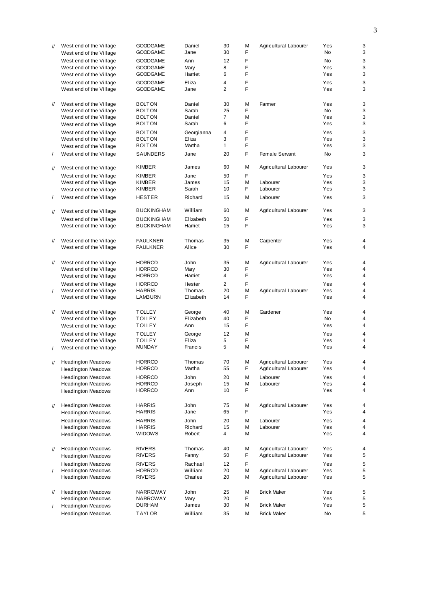| <b>GOODGAME</b><br>Daniel<br>30<br>M<br>Agricultural Labourer<br>Yes<br>West end of the Village<br>$^{\prime\prime}$<br>F<br><b>GOODGAME</b><br>Jane<br>30<br><b>No</b><br>West end of the Village<br>F<br><b>GOODGAME</b><br>Ann<br>12<br><b>No</b><br>West end of the Village<br>F<br><b>GOODGAME</b><br>Mary<br>8<br>Yes<br>West end of the Village<br>F<br><b>GOODGAME</b><br>Harriet<br>6<br>Yes<br>West end of the Village<br>F<br><b>GOODGAME</b><br>Eliza<br>4<br>Yes<br>West end of the Village<br>F<br>$\overline{2}$<br>Yes<br><b>GOODGAME</b><br>Jane<br>West end of the Village<br>M<br>Yes<br>West end of the Village<br><b>BOLTON</b><br>Daniel<br>30<br>Farmer<br>$^{\prime\prime}$<br>Sarah<br>25<br>F.<br><b>No</b><br>West end of the Village<br><b>BOLTON</b><br>$\overline{7}$<br>Yes<br>Daniel<br>М<br>West end of the Village<br><b>BOLTON</b><br>F<br>Sarah<br>6<br>Yes<br><b>BOLTON</b><br>West end of the Village<br>F<br>4<br>Yes<br>West end of the Village<br><b>BOLTON</b><br>Georgianna<br>F<br>Eliza<br>3<br>Yes<br>West end of the Village<br><b>BOLTON</b><br>F<br>$\mathbf{1}$<br>Yes<br>Martha<br><b>BOLTON</b><br>West end of the Village<br>F<br>Female Servant<br><b>No</b><br>West end of the Village<br>SAUNDERS<br>Jane<br>20<br>$\sqrt{2}$<br>M<br><b>KIMBER</b><br>60<br>Yes<br>James<br>Agricultural Labourer<br>West end of the Village<br>$^{\prime\prime}$<br>F<br>50<br>Yes<br>West end of the Village<br>KIMBER<br>Jane<br>M<br>Yes<br><b>KIMBER</b><br>James<br>15<br>Labourer<br>West end of the Village<br>F<br>Yes<br>Sarah<br>10<br>Labourer<br>KIMBER<br>West end of the Village<br>Richard<br>M<br>Yes<br>West end of the Village<br><b>HESTER</b><br>15<br>Labourer<br>$\sqrt{2}$<br>William<br>M<br>60<br>Agricultural Labourer<br>Yes<br><b>BUCKINGHAM</b><br>West end of the Village<br>$^{\prime\prime}$<br>F<br>Elizabeth<br>50<br>Yes<br>West end of the Village<br><b>BUCKINGHAM</b><br>F<br>West end of the Village<br><b>BUCKINGHAM</b><br>Harriet<br>15<br>Yes<br>M<br>West end of the Village<br><b>FAULKNER</b><br>Thomas<br>Carpenter<br>Yes<br>11<br>35<br>F<br>Yes<br>West end of the Village<br>Alice<br>30<br><b>FAULKNER</b><br>M<br>Yes<br>West end of the Village<br><b>HORROD</b><br>John<br>35<br>Agricultural Labourer<br>11<br>F.<br>Yes<br>30<br>West end of the Village<br><b>HORROD</b><br>Mary<br>F<br>$\overline{4}$<br>Yes<br>Harriet<br><b>HORROD</b><br>West end of the Village<br>F<br>$\overline{2}$<br>Yes<br>West end of the Village<br><b>HORROD</b><br>Hester<br>M<br>Yes<br>West end of the Village<br><b>HARRIS</b><br>Thomas<br>20<br>Agricultural Labourer<br>$\prime$<br>F.<br>Yes<br>Elizabeth<br>14<br>West end of the Village<br>LAMBURN<br>40<br>M<br>Yes<br>West end of the Village<br><b>TOLLEY</b><br>George<br>Gardener<br>$^{\prime\prime}$<br>Elizabeth<br>F<br><b>TOLLEY</b><br>40<br><b>No</b><br>West end of the Village<br>F<br><b>TOLLEY</b><br>Ann<br>15<br>Yes<br>West end of the Village<br><b>TOLLEY</b><br>12<br>M<br>Yes<br>West end of the Village<br>George<br>F<br>Yes<br><b>TOLLEY</b><br>Eliza<br>5<br>West end of the Village<br>5<br>M<br>Yes<br><b>MUNDAY</b><br>Francis<br>West end of the Village<br><b>HORROD</b><br>Thomas<br>70<br>M<br>Yes<br><b>Headington Meadows</b><br>Agricultural Labourer<br>$^{\prime\prime}$<br>F<br><b>HORROD</b><br>Martha<br>55<br>Agricultural Labourer<br>Yes<br><b>Headington Meadows</b><br><b>HORROD</b><br>John<br>20<br>M<br>Labourer<br>Yes<br><b>Headington Meadows</b><br>M<br>Yes<br><b>Headington Meadows</b><br><b>HORROD</b><br>Joseph<br>15<br>Labourer<br>10<br>F<br>Yes<br>Ann<br><b>HORROD</b><br><b>Headington Meadows</b><br>М<br>Yes<br><b>Headington Meadows</b><br><b>HARRIS</b><br>John<br>75<br>Agricultural Labourer<br>$^{\prime\prime}$<br>F<br>Yes<br><b>HARRIS</b><br>Jane<br>65<br><b>Headington Meadows</b><br><b>HARRIS</b><br>John<br>20<br>M<br>Labourer<br>Yes<br><b>Headington Meadows</b><br>М<br>Yes<br><b>Headington Meadows</b><br><b>HARRIS</b><br>Richard<br>15<br>Labourer<br>4<br>М<br><b>WIDOWS</b><br>Robert<br>Yes<br><b>Headington Meadows</b><br>M<br>Yes<br><b>Headington Meadows</b><br><b>RIVERS</b><br>Thomas<br>40<br>Agricultural Labourer<br>$^{\prime\prime}$<br>F<br>Yes<br><b>RIVERS</b><br>Fanny<br>50<br>Agricultural Labourer<br><b>Headington Meadows</b><br>F<br><b>RIVERS</b><br>Rachael<br>12<br>Yes<br><b>Headington Meadows</b><br>М<br>Agricultural Labourer<br>Yes<br><b>Headington Meadows</b><br><b>HORROD</b><br>William<br>20<br>$\prime$<br><b>Headington Meadows</b><br><b>RIVERS</b><br>Charles<br>20<br>М<br>Agricultural Labourer<br>Yes<br>M<br>Yes<br><b>Headington Meadows</b><br>NARROWAY<br>John<br>25<br><b>Brick Maker</b><br>$^{\prime\prime}$<br>F<br>20<br><b>Headington Meadows</b><br>Mary<br>Yes<br>NARROWAY<br>James<br>30<br>М<br><b>Brick Maker</b><br>Yes<br>DURHAM<br><b>Headington Meadows</b><br>$\prime$<br><b>TAYLOR</b><br>William<br>35<br>M<br>No<br><b>Headington Meadows</b><br>Brick Maker |  |  |  |  |   |
|----------------------------------------------------------------------------------------------------------------------------------------------------------------------------------------------------------------------------------------------------------------------------------------------------------------------------------------------------------------------------------------------------------------------------------------------------------------------------------------------------------------------------------------------------------------------------------------------------------------------------------------------------------------------------------------------------------------------------------------------------------------------------------------------------------------------------------------------------------------------------------------------------------------------------------------------------------------------------------------------------------------------------------------------------------------------------------------------------------------------------------------------------------------------------------------------------------------------------------------------------------------------------------------------------------------------------------------------------------------------------------------------------------------------------------------------------------------------------------------------------------------------------------------------------------------------------------------------------------------------------------------------------------------------------------------------------------------------------------------------------------------------------------------------------------------------------------------------------------------------------------------------------------------------------------------------------------------------------------------------------------------------------------------------------------------------------------------------------------------------------------------------------------------------------------------------------------------------------------------------------------------------------------------------------------------------------------------------------------------------------------------------------------------------------------------------------------------------------------------------------------------------------------------------------------------------------------------------------------------------------------------------------------------------------------------------------------------------------------------------------------------------------------------------------------------------------------------------------------------------------------------------------------------------------------------------------------------------------------------------------------------------------------------------------------------------------------------------------------------------------------------------------------------------------------------------------------------------------------------------------------------------------------------------------------------------------------------------------------------------------------------------------------------------------------------------------------------------------------------------------------------------------------------------------------------------------------------------------------------------------------------------------------------------------------------------------------------------------------------------------------------------------------------------------------------------------------------------------------------------------------------------------------------------------------------------------------------------------------------------------------------------------------------------------------------------------------------------------------------------------------------------------------------------------------------------------------------------------------------------------------------------------------------------------------------------------------------------------------------------------------------------------------------------------------------------------------------------------------------------------------------------------------------------------------------------------------------------------------------------------------------------------------------------------------------------------------------------------------------------------------------------------------------------------------------------------------------------------------------------------------------------------------------------------------------------------------------------------------------------------------------------------------------------------------------------------|--|--|--|--|---|
|                                                                                                                                                                                                                                                                                                                                                                                                                                                                                                                                                                                                                                                                                                                                                                                                                                                                                                                                                                                                                                                                                                                                                                                                                                                                                                                                                                                                                                                                                                                                                                                                                                                                                                                                                                                                                                                                                                                                                                                                                                                                                                                                                                                                                                                                                                                                                                                                                                                                                                                                                                                                                                                                                                                                                                                                                                                                                                                                                                                                                                                                                                                                                                                                                                                                                                                                                                                                                                                                                                                                                                                                                                                                                                                                                                                                                                                                                                                                                                                                                                                                                                                                                                                                                                                                                                                                                                                                                                                                                                                                                                                                                                                                                                                                                                                                                                                                                                                                                                                                                                                                            |  |  |  |  | 3 |
|                                                                                                                                                                                                                                                                                                                                                                                                                                                                                                                                                                                                                                                                                                                                                                                                                                                                                                                                                                                                                                                                                                                                                                                                                                                                                                                                                                                                                                                                                                                                                                                                                                                                                                                                                                                                                                                                                                                                                                                                                                                                                                                                                                                                                                                                                                                                                                                                                                                                                                                                                                                                                                                                                                                                                                                                                                                                                                                                                                                                                                                                                                                                                                                                                                                                                                                                                                                                                                                                                                                                                                                                                                                                                                                                                                                                                                                                                                                                                                                                                                                                                                                                                                                                                                                                                                                                                                                                                                                                                                                                                                                                                                                                                                                                                                                                                                                                                                                                                                                                                                                                            |  |  |  |  | 3 |
|                                                                                                                                                                                                                                                                                                                                                                                                                                                                                                                                                                                                                                                                                                                                                                                                                                                                                                                                                                                                                                                                                                                                                                                                                                                                                                                                                                                                                                                                                                                                                                                                                                                                                                                                                                                                                                                                                                                                                                                                                                                                                                                                                                                                                                                                                                                                                                                                                                                                                                                                                                                                                                                                                                                                                                                                                                                                                                                                                                                                                                                                                                                                                                                                                                                                                                                                                                                                                                                                                                                                                                                                                                                                                                                                                                                                                                                                                                                                                                                                                                                                                                                                                                                                                                                                                                                                                                                                                                                                                                                                                                                                                                                                                                                                                                                                                                                                                                                                                                                                                                                                            |  |  |  |  | 3 |
|                                                                                                                                                                                                                                                                                                                                                                                                                                                                                                                                                                                                                                                                                                                                                                                                                                                                                                                                                                                                                                                                                                                                                                                                                                                                                                                                                                                                                                                                                                                                                                                                                                                                                                                                                                                                                                                                                                                                                                                                                                                                                                                                                                                                                                                                                                                                                                                                                                                                                                                                                                                                                                                                                                                                                                                                                                                                                                                                                                                                                                                                                                                                                                                                                                                                                                                                                                                                                                                                                                                                                                                                                                                                                                                                                                                                                                                                                                                                                                                                                                                                                                                                                                                                                                                                                                                                                                                                                                                                                                                                                                                                                                                                                                                                                                                                                                                                                                                                                                                                                                                                            |  |  |  |  | 3 |
|                                                                                                                                                                                                                                                                                                                                                                                                                                                                                                                                                                                                                                                                                                                                                                                                                                                                                                                                                                                                                                                                                                                                                                                                                                                                                                                                                                                                                                                                                                                                                                                                                                                                                                                                                                                                                                                                                                                                                                                                                                                                                                                                                                                                                                                                                                                                                                                                                                                                                                                                                                                                                                                                                                                                                                                                                                                                                                                                                                                                                                                                                                                                                                                                                                                                                                                                                                                                                                                                                                                                                                                                                                                                                                                                                                                                                                                                                                                                                                                                                                                                                                                                                                                                                                                                                                                                                                                                                                                                                                                                                                                                                                                                                                                                                                                                                                                                                                                                                                                                                                                                            |  |  |  |  | 3 |
|                                                                                                                                                                                                                                                                                                                                                                                                                                                                                                                                                                                                                                                                                                                                                                                                                                                                                                                                                                                                                                                                                                                                                                                                                                                                                                                                                                                                                                                                                                                                                                                                                                                                                                                                                                                                                                                                                                                                                                                                                                                                                                                                                                                                                                                                                                                                                                                                                                                                                                                                                                                                                                                                                                                                                                                                                                                                                                                                                                                                                                                                                                                                                                                                                                                                                                                                                                                                                                                                                                                                                                                                                                                                                                                                                                                                                                                                                                                                                                                                                                                                                                                                                                                                                                                                                                                                                                                                                                                                                                                                                                                                                                                                                                                                                                                                                                                                                                                                                                                                                                                                            |  |  |  |  | 3 |
|                                                                                                                                                                                                                                                                                                                                                                                                                                                                                                                                                                                                                                                                                                                                                                                                                                                                                                                                                                                                                                                                                                                                                                                                                                                                                                                                                                                                                                                                                                                                                                                                                                                                                                                                                                                                                                                                                                                                                                                                                                                                                                                                                                                                                                                                                                                                                                                                                                                                                                                                                                                                                                                                                                                                                                                                                                                                                                                                                                                                                                                                                                                                                                                                                                                                                                                                                                                                                                                                                                                                                                                                                                                                                                                                                                                                                                                                                                                                                                                                                                                                                                                                                                                                                                                                                                                                                                                                                                                                                                                                                                                                                                                                                                                                                                                                                                                                                                                                                                                                                                                                            |  |  |  |  | 3 |
|                                                                                                                                                                                                                                                                                                                                                                                                                                                                                                                                                                                                                                                                                                                                                                                                                                                                                                                                                                                                                                                                                                                                                                                                                                                                                                                                                                                                                                                                                                                                                                                                                                                                                                                                                                                                                                                                                                                                                                                                                                                                                                                                                                                                                                                                                                                                                                                                                                                                                                                                                                                                                                                                                                                                                                                                                                                                                                                                                                                                                                                                                                                                                                                                                                                                                                                                                                                                                                                                                                                                                                                                                                                                                                                                                                                                                                                                                                                                                                                                                                                                                                                                                                                                                                                                                                                                                                                                                                                                                                                                                                                                                                                                                                                                                                                                                                                                                                                                                                                                                                                                            |  |  |  |  |   |
|                                                                                                                                                                                                                                                                                                                                                                                                                                                                                                                                                                                                                                                                                                                                                                                                                                                                                                                                                                                                                                                                                                                                                                                                                                                                                                                                                                                                                                                                                                                                                                                                                                                                                                                                                                                                                                                                                                                                                                                                                                                                                                                                                                                                                                                                                                                                                                                                                                                                                                                                                                                                                                                                                                                                                                                                                                                                                                                                                                                                                                                                                                                                                                                                                                                                                                                                                                                                                                                                                                                                                                                                                                                                                                                                                                                                                                                                                                                                                                                                                                                                                                                                                                                                                                                                                                                                                                                                                                                                                                                                                                                                                                                                                                                                                                                                                                                                                                                                                                                                                                                                            |  |  |  |  | 3 |
|                                                                                                                                                                                                                                                                                                                                                                                                                                                                                                                                                                                                                                                                                                                                                                                                                                                                                                                                                                                                                                                                                                                                                                                                                                                                                                                                                                                                                                                                                                                                                                                                                                                                                                                                                                                                                                                                                                                                                                                                                                                                                                                                                                                                                                                                                                                                                                                                                                                                                                                                                                                                                                                                                                                                                                                                                                                                                                                                                                                                                                                                                                                                                                                                                                                                                                                                                                                                                                                                                                                                                                                                                                                                                                                                                                                                                                                                                                                                                                                                                                                                                                                                                                                                                                                                                                                                                                                                                                                                                                                                                                                                                                                                                                                                                                                                                                                                                                                                                                                                                                                                            |  |  |  |  | 3 |
|                                                                                                                                                                                                                                                                                                                                                                                                                                                                                                                                                                                                                                                                                                                                                                                                                                                                                                                                                                                                                                                                                                                                                                                                                                                                                                                                                                                                                                                                                                                                                                                                                                                                                                                                                                                                                                                                                                                                                                                                                                                                                                                                                                                                                                                                                                                                                                                                                                                                                                                                                                                                                                                                                                                                                                                                                                                                                                                                                                                                                                                                                                                                                                                                                                                                                                                                                                                                                                                                                                                                                                                                                                                                                                                                                                                                                                                                                                                                                                                                                                                                                                                                                                                                                                                                                                                                                                                                                                                                                                                                                                                                                                                                                                                                                                                                                                                                                                                                                                                                                                                                            |  |  |  |  | 3 |
|                                                                                                                                                                                                                                                                                                                                                                                                                                                                                                                                                                                                                                                                                                                                                                                                                                                                                                                                                                                                                                                                                                                                                                                                                                                                                                                                                                                                                                                                                                                                                                                                                                                                                                                                                                                                                                                                                                                                                                                                                                                                                                                                                                                                                                                                                                                                                                                                                                                                                                                                                                                                                                                                                                                                                                                                                                                                                                                                                                                                                                                                                                                                                                                                                                                                                                                                                                                                                                                                                                                                                                                                                                                                                                                                                                                                                                                                                                                                                                                                                                                                                                                                                                                                                                                                                                                                                                                                                                                                                                                                                                                                                                                                                                                                                                                                                                                                                                                                                                                                                                                                            |  |  |  |  | 3 |
|                                                                                                                                                                                                                                                                                                                                                                                                                                                                                                                                                                                                                                                                                                                                                                                                                                                                                                                                                                                                                                                                                                                                                                                                                                                                                                                                                                                                                                                                                                                                                                                                                                                                                                                                                                                                                                                                                                                                                                                                                                                                                                                                                                                                                                                                                                                                                                                                                                                                                                                                                                                                                                                                                                                                                                                                                                                                                                                                                                                                                                                                                                                                                                                                                                                                                                                                                                                                                                                                                                                                                                                                                                                                                                                                                                                                                                                                                                                                                                                                                                                                                                                                                                                                                                                                                                                                                                                                                                                                                                                                                                                                                                                                                                                                                                                                                                                                                                                                                                                                                                                                            |  |  |  |  | 3 |
|                                                                                                                                                                                                                                                                                                                                                                                                                                                                                                                                                                                                                                                                                                                                                                                                                                                                                                                                                                                                                                                                                                                                                                                                                                                                                                                                                                                                                                                                                                                                                                                                                                                                                                                                                                                                                                                                                                                                                                                                                                                                                                                                                                                                                                                                                                                                                                                                                                                                                                                                                                                                                                                                                                                                                                                                                                                                                                                                                                                                                                                                                                                                                                                                                                                                                                                                                                                                                                                                                                                                                                                                                                                                                                                                                                                                                                                                                                                                                                                                                                                                                                                                                                                                                                                                                                                                                                                                                                                                                                                                                                                                                                                                                                                                                                                                                                                                                                                                                                                                                                                                            |  |  |  |  | 3 |
|                                                                                                                                                                                                                                                                                                                                                                                                                                                                                                                                                                                                                                                                                                                                                                                                                                                                                                                                                                                                                                                                                                                                                                                                                                                                                                                                                                                                                                                                                                                                                                                                                                                                                                                                                                                                                                                                                                                                                                                                                                                                                                                                                                                                                                                                                                                                                                                                                                                                                                                                                                                                                                                                                                                                                                                                                                                                                                                                                                                                                                                                                                                                                                                                                                                                                                                                                                                                                                                                                                                                                                                                                                                                                                                                                                                                                                                                                                                                                                                                                                                                                                                                                                                                                                                                                                                                                                                                                                                                                                                                                                                                                                                                                                                                                                                                                                                                                                                                                                                                                                                                            |  |  |  |  | 3 |
|                                                                                                                                                                                                                                                                                                                                                                                                                                                                                                                                                                                                                                                                                                                                                                                                                                                                                                                                                                                                                                                                                                                                                                                                                                                                                                                                                                                                                                                                                                                                                                                                                                                                                                                                                                                                                                                                                                                                                                                                                                                                                                                                                                                                                                                                                                                                                                                                                                                                                                                                                                                                                                                                                                                                                                                                                                                                                                                                                                                                                                                                                                                                                                                                                                                                                                                                                                                                                                                                                                                                                                                                                                                                                                                                                                                                                                                                                                                                                                                                                                                                                                                                                                                                                                                                                                                                                                                                                                                                                                                                                                                                                                                                                                                                                                                                                                                                                                                                                                                                                                                                            |  |  |  |  | 3 |
|                                                                                                                                                                                                                                                                                                                                                                                                                                                                                                                                                                                                                                                                                                                                                                                                                                                                                                                                                                                                                                                                                                                                                                                                                                                                                                                                                                                                                                                                                                                                                                                                                                                                                                                                                                                                                                                                                                                                                                                                                                                                                                                                                                                                                                                                                                                                                                                                                                                                                                                                                                                                                                                                                                                                                                                                                                                                                                                                                                                                                                                                                                                                                                                                                                                                                                                                                                                                                                                                                                                                                                                                                                                                                                                                                                                                                                                                                                                                                                                                                                                                                                                                                                                                                                                                                                                                                                                                                                                                                                                                                                                                                                                                                                                                                                                                                                                                                                                                                                                                                                                                            |  |  |  |  |   |
|                                                                                                                                                                                                                                                                                                                                                                                                                                                                                                                                                                                                                                                                                                                                                                                                                                                                                                                                                                                                                                                                                                                                                                                                                                                                                                                                                                                                                                                                                                                                                                                                                                                                                                                                                                                                                                                                                                                                                                                                                                                                                                                                                                                                                                                                                                                                                                                                                                                                                                                                                                                                                                                                                                                                                                                                                                                                                                                                                                                                                                                                                                                                                                                                                                                                                                                                                                                                                                                                                                                                                                                                                                                                                                                                                                                                                                                                                                                                                                                                                                                                                                                                                                                                                                                                                                                                                                                                                                                                                                                                                                                                                                                                                                                                                                                                                                                                                                                                                                                                                                                                            |  |  |  |  | 3 |
|                                                                                                                                                                                                                                                                                                                                                                                                                                                                                                                                                                                                                                                                                                                                                                                                                                                                                                                                                                                                                                                                                                                                                                                                                                                                                                                                                                                                                                                                                                                                                                                                                                                                                                                                                                                                                                                                                                                                                                                                                                                                                                                                                                                                                                                                                                                                                                                                                                                                                                                                                                                                                                                                                                                                                                                                                                                                                                                                                                                                                                                                                                                                                                                                                                                                                                                                                                                                                                                                                                                                                                                                                                                                                                                                                                                                                                                                                                                                                                                                                                                                                                                                                                                                                                                                                                                                                                                                                                                                                                                                                                                                                                                                                                                                                                                                                                                                                                                                                                                                                                                                            |  |  |  |  | 3 |
|                                                                                                                                                                                                                                                                                                                                                                                                                                                                                                                                                                                                                                                                                                                                                                                                                                                                                                                                                                                                                                                                                                                                                                                                                                                                                                                                                                                                                                                                                                                                                                                                                                                                                                                                                                                                                                                                                                                                                                                                                                                                                                                                                                                                                                                                                                                                                                                                                                                                                                                                                                                                                                                                                                                                                                                                                                                                                                                                                                                                                                                                                                                                                                                                                                                                                                                                                                                                                                                                                                                                                                                                                                                                                                                                                                                                                                                                                                                                                                                                                                                                                                                                                                                                                                                                                                                                                                                                                                                                                                                                                                                                                                                                                                                                                                                                                                                                                                                                                                                                                                                                            |  |  |  |  | 3 |
|                                                                                                                                                                                                                                                                                                                                                                                                                                                                                                                                                                                                                                                                                                                                                                                                                                                                                                                                                                                                                                                                                                                                                                                                                                                                                                                                                                                                                                                                                                                                                                                                                                                                                                                                                                                                                                                                                                                                                                                                                                                                                                                                                                                                                                                                                                                                                                                                                                                                                                                                                                                                                                                                                                                                                                                                                                                                                                                                                                                                                                                                                                                                                                                                                                                                                                                                                                                                                                                                                                                                                                                                                                                                                                                                                                                                                                                                                                                                                                                                                                                                                                                                                                                                                                                                                                                                                                                                                                                                                                                                                                                                                                                                                                                                                                                                                                                                                                                                                                                                                                                                            |  |  |  |  | 3 |
|                                                                                                                                                                                                                                                                                                                                                                                                                                                                                                                                                                                                                                                                                                                                                                                                                                                                                                                                                                                                                                                                                                                                                                                                                                                                                                                                                                                                                                                                                                                                                                                                                                                                                                                                                                                                                                                                                                                                                                                                                                                                                                                                                                                                                                                                                                                                                                                                                                                                                                                                                                                                                                                                                                                                                                                                                                                                                                                                                                                                                                                                                                                                                                                                                                                                                                                                                                                                                                                                                                                                                                                                                                                                                                                                                                                                                                                                                                                                                                                                                                                                                                                                                                                                                                                                                                                                                                                                                                                                                                                                                                                                                                                                                                                                                                                                                                                                                                                                                                                                                                                                            |  |  |  |  | 3 |
|                                                                                                                                                                                                                                                                                                                                                                                                                                                                                                                                                                                                                                                                                                                                                                                                                                                                                                                                                                                                                                                                                                                                                                                                                                                                                                                                                                                                                                                                                                                                                                                                                                                                                                                                                                                                                                                                                                                                                                                                                                                                                                                                                                                                                                                                                                                                                                                                                                                                                                                                                                                                                                                                                                                                                                                                                                                                                                                                                                                                                                                                                                                                                                                                                                                                                                                                                                                                                                                                                                                                                                                                                                                                                                                                                                                                                                                                                                                                                                                                                                                                                                                                                                                                                                                                                                                                                                                                                                                                                                                                                                                                                                                                                                                                                                                                                                                                                                                                                                                                                                                                            |  |  |  |  |   |
|                                                                                                                                                                                                                                                                                                                                                                                                                                                                                                                                                                                                                                                                                                                                                                                                                                                                                                                                                                                                                                                                                                                                                                                                                                                                                                                                                                                                                                                                                                                                                                                                                                                                                                                                                                                                                                                                                                                                                                                                                                                                                                                                                                                                                                                                                                                                                                                                                                                                                                                                                                                                                                                                                                                                                                                                                                                                                                                                                                                                                                                                                                                                                                                                                                                                                                                                                                                                                                                                                                                                                                                                                                                                                                                                                                                                                                                                                                                                                                                                                                                                                                                                                                                                                                                                                                                                                                                                                                                                                                                                                                                                                                                                                                                                                                                                                                                                                                                                                                                                                                                                            |  |  |  |  | 3 |
|                                                                                                                                                                                                                                                                                                                                                                                                                                                                                                                                                                                                                                                                                                                                                                                                                                                                                                                                                                                                                                                                                                                                                                                                                                                                                                                                                                                                                                                                                                                                                                                                                                                                                                                                                                                                                                                                                                                                                                                                                                                                                                                                                                                                                                                                                                                                                                                                                                                                                                                                                                                                                                                                                                                                                                                                                                                                                                                                                                                                                                                                                                                                                                                                                                                                                                                                                                                                                                                                                                                                                                                                                                                                                                                                                                                                                                                                                                                                                                                                                                                                                                                                                                                                                                                                                                                                                                                                                                                                                                                                                                                                                                                                                                                                                                                                                                                                                                                                                                                                                                                                            |  |  |  |  | 3 |
|                                                                                                                                                                                                                                                                                                                                                                                                                                                                                                                                                                                                                                                                                                                                                                                                                                                                                                                                                                                                                                                                                                                                                                                                                                                                                                                                                                                                                                                                                                                                                                                                                                                                                                                                                                                                                                                                                                                                                                                                                                                                                                                                                                                                                                                                                                                                                                                                                                                                                                                                                                                                                                                                                                                                                                                                                                                                                                                                                                                                                                                                                                                                                                                                                                                                                                                                                                                                                                                                                                                                                                                                                                                                                                                                                                                                                                                                                                                                                                                                                                                                                                                                                                                                                                                                                                                                                                                                                                                                                                                                                                                                                                                                                                                                                                                                                                                                                                                                                                                                                                                                            |  |  |  |  | 3 |
|                                                                                                                                                                                                                                                                                                                                                                                                                                                                                                                                                                                                                                                                                                                                                                                                                                                                                                                                                                                                                                                                                                                                                                                                                                                                                                                                                                                                                                                                                                                                                                                                                                                                                                                                                                                                                                                                                                                                                                                                                                                                                                                                                                                                                                                                                                                                                                                                                                                                                                                                                                                                                                                                                                                                                                                                                                                                                                                                                                                                                                                                                                                                                                                                                                                                                                                                                                                                                                                                                                                                                                                                                                                                                                                                                                                                                                                                                                                                                                                                                                                                                                                                                                                                                                                                                                                                                                                                                                                                                                                                                                                                                                                                                                                                                                                                                                                                                                                                                                                                                                                                            |  |  |  |  |   |
|                                                                                                                                                                                                                                                                                                                                                                                                                                                                                                                                                                                                                                                                                                                                                                                                                                                                                                                                                                                                                                                                                                                                                                                                                                                                                                                                                                                                                                                                                                                                                                                                                                                                                                                                                                                                                                                                                                                                                                                                                                                                                                                                                                                                                                                                                                                                                                                                                                                                                                                                                                                                                                                                                                                                                                                                                                                                                                                                                                                                                                                                                                                                                                                                                                                                                                                                                                                                                                                                                                                                                                                                                                                                                                                                                                                                                                                                                                                                                                                                                                                                                                                                                                                                                                                                                                                                                                                                                                                                                                                                                                                                                                                                                                                                                                                                                                                                                                                                                                                                                                                                            |  |  |  |  | 4 |
|                                                                                                                                                                                                                                                                                                                                                                                                                                                                                                                                                                                                                                                                                                                                                                                                                                                                                                                                                                                                                                                                                                                                                                                                                                                                                                                                                                                                                                                                                                                                                                                                                                                                                                                                                                                                                                                                                                                                                                                                                                                                                                                                                                                                                                                                                                                                                                                                                                                                                                                                                                                                                                                                                                                                                                                                                                                                                                                                                                                                                                                                                                                                                                                                                                                                                                                                                                                                                                                                                                                                                                                                                                                                                                                                                                                                                                                                                                                                                                                                                                                                                                                                                                                                                                                                                                                                                                                                                                                                                                                                                                                                                                                                                                                                                                                                                                                                                                                                                                                                                                                                            |  |  |  |  | 4 |
|                                                                                                                                                                                                                                                                                                                                                                                                                                                                                                                                                                                                                                                                                                                                                                                                                                                                                                                                                                                                                                                                                                                                                                                                                                                                                                                                                                                                                                                                                                                                                                                                                                                                                                                                                                                                                                                                                                                                                                                                                                                                                                                                                                                                                                                                                                                                                                                                                                                                                                                                                                                                                                                                                                                                                                                                                                                                                                                                                                                                                                                                                                                                                                                                                                                                                                                                                                                                                                                                                                                                                                                                                                                                                                                                                                                                                                                                                                                                                                                                                                                                                                                                                                                                                                                                                                                                                                                                                                                                                                                                                                                                                                                                                                                                                                                                                                                                                                                                                                                                                                                                            |  |  |  |  |   |
|                                                                                                                                                                                                                                                                                                                                                                                                                                                                                                                                                                                                                                                                                                                                                                                                                                                                                                                                                                                                                                                                                                                                                                                                                                                                                                                                                                                                                                                                                                                                                                                                                                                                                                                                                                                                                                                                                                                                                                                                                                                                                                                                                                                                                                                                                                                                                                                                                                                                                                                                                                                                                                                                                                                                                                                                                                                                                                                                                                                                                                                                                                                                                                                                                                                                                                                                                                                                                                                                                                                                                                                                                                                                                                                                                                                                                                                                                                                                                                                                                                                                                                                                                                                                                                                                                                                                                                                                                                                                                                                                                                                                                                                                                                                                                                                                                                                                                                                                                                                                                                                                            |  |  |  |  | 4 |
|                                                                                                                                                                                                                                                                                                                                                                                                                                                                                                                                                                                                                                                                                                                                                                                                                                                                                                                                                                                                                                                                                                                                                                                                                                                                                                                                                                                                                                                                                                                                                                                                                                                                                                                                                                                                                                                                                                                                                                                                                                                                                                                                                                                                                                                                                                                                                                                                                                                                                                                                                                                                                                                                                                                                                                                                                                                                                                                                                                                                                                                                                                                                                                                                                                                                                                                                                                                                                                                                                                                                                                                                                                                                                                                                                                                                                                                                                                                                                                                                                                                                                                                                                                                                                                                                                                                                                                                                                                                                                                                                                                                                                                                                                                                                                                                                                                                                                                                                                                                                                                                                            |  |  |  |  | 4 |
|                                                                                                                                                                                                                                                                                                                                                                                                                                                                                                                                                                                                                                                                                                                                                                                                                                                                                                                                                                                                                                                                                                                                                                                                                                                                                                                                                                                                                                                                                                                                                                                                                                                                                                                                                                                                                                                                                                                                                                                                                                                                                                                                                                                                                                                                                                                                                                                                                                                                                                                                                                                                                                                                                                                                                                                                                                                                                                                                                                                                                                                                                                                                                                                                                                                                                                                                                                                                                                                                                                                                                                                                                                                                                                                                                                                                                                                                                                                                                                                                                                                                                                                                                                                                                                                                                                                                                                                                                                                                                                                                                                                                                                                                                                                                                                                                                                                                                                                                                                                                                                                                            |  |  |  |  | 4 |
|                                                                                                                                                                                                                                                                                                                                                                                                                                                                                                                                                                                                                                                                                                                                                                                                                                                                                                                                                                                                                                                                                                                                                                                                                                                                                                                                                                                                                                                                                                                                                                                                                                                                                                                                                                                                                                                                                                                                                                                                                                                                                                                                                                                                                                                                                                                                                                                                                                                                                                                                                                                                                                                                                                                                                                                                                                                                                                                                                                                                                                                                                                                                                                                                                                                                                                                                                                                                                                                                                                                                                                                                                                                                                                                                                                                                                                                                                                                                                                                                                                                                                                                                                                                                                                                                                                                                                                                                                                                                                                                                                                                                                                                                                                                                                                                                                                                                                                                                                                                                                                                                            |  |  |  |  | 4 |
|                                                                                                                                                                                                                                                                                                                                                                                                                                                                                                                                                                                                                                                                                                                                                                                                                                                                                                                                                                                                                                                                                                                                                                                                                                                                                                                                                                                                                                                                                                                                                                                                                                                                                                                                                                                                                                                                                                                                                                                                                                                                                                                                                                                                                                                                                                                                                                                                                                                                                                                                                                                                                                                                                                                                                                                                                                                                                                                                                                                                                                                                                                                                                                                                                                                                                                                                                                                                                                                                                                                                                                                                                                                                                                                                                                                                                                                                                                                                                                                                                                                                                                                                                                                                                                                                                                                                                                                                                                                                                                                                                                                                                                                                                                                                                                                                                                                                                                                                                                                                                                                                            |  |  |  |  | 4 |
|                                                                                                                                                                                                                                                                                                                                                                                                                                                                                                                                                                                                                                                                                                                                                                                                                                                                                                                                                                                                                                                                                                                                                                                                                                                                                                                                                                                                                                                                                                                                                                                                                                                                                                                                                                                                                                                                                                                                                                                                                                                                                                                                                                                                                                                                                                                                                                                                                                                                                                                                                                                                                                                                                                                                                                                                                                                                                                                                                                                                                                                                                                                                                                                                                                                                                                                                                                                                                                                                                                                                                                                                                                                                                                                                                                                                                                                                                                                                                                                                                                                                                                                                                                                                                                                                                                                                                                                                                                                                                                                                                                                                                                                                                                                                                                                                                                                                                                                                                                                                                                                                            |  |  |  |  | 4 |
|                                                                                                                                                                                                                                                                                                                                                                                                                                                                                                                                                                                                                                                                                                                                                                                                                                                                                                                                                                                                                                                                                                                                                                                                                                                                                                                                                                                                                                                                                                                                                                                                                                                                                                                                                                                                                                                                                                                                                                                                                                                                                                                                                                                                                                                                                                                                                                                                                                                                                                                                                                                                                                                                                                                                                                                                                                                                                                                                                                                                                                                                                                                                                                                                                                                                                                                                                                                                                                                                                                                                                                                                                                                                                                                                                                                                                                                                                                                                                                                                                                                                                                                                                                                                                                                                                                                                                                                                                                                                                                                                                                                                                                                                                                                                                                                                                                                                                                                                                                                                                                                                            |  |  |  |  |   |
|                                                                                                                                                                                                                                                                                                                                                                                                                                                                                                                                                                                                                                                                                                                                                                                                                                                                                                                                                                                                                                                                                                                                                                                                                                                                                                                                                                                                                                                                                                                                                                                                                                                                                                                                                                                                                                                                                                                                                                                                                                                                                                                                                                                                                                                                                                                                                                                                                                                                                                                                                                                                                                                                                                                                                                                                                                                                                                                                                                                                                                                                                                                                                                                                                                                                                                                                                                                                                                                                                                                                                                                                                                                                                                                                                                                                                                                                                                                                                                                                                                                                                                                                                                                                                                                                                                                                                                                                                                                                                                                                                                                                                                                                                                                                                                                                                                                                                                                                                                                                                                                                            |  |  |  |  | 4 |
|                                                                                                                                                                                                                                                                                                                                                                                                                                                                                                                                                                                                                                                                                                                                                                                                                                                                                                                                                                                                                                                                                                                                                                                                                                                                                                                                                                                                                                                                                                                                                                                                                                                                                                                                                                                                                                                                                                                                                                                                                                                                                                                                                                                                                                                                                                                                                                                                                                                                                                                                                                                                                                                                                                                                                                                                                                                                                                                                                                                                                                                                                                                                                                                                                                                                                                                                                                                                                                                                                                                                                                                                                                                                                                                                                                                                                                                                                                                                                                                                                                                                                                                                                                                                                                                                                                                                                                                                                                                                                                                                                                                                                                                                                                                                                                                                                                                                                                                                                                                                                                                                            |  |  |  |  | 4 |
|                                                                                                                                                                                                                                                                                                                                                                                                                                                                                                                                                                                                                                                                                                                                                                                                                                                                                                                                                                                                                                                                                                                                                                                                                                                                                                                                                                                                                                                                                                                                                                                                                                                                                                                                                                                                                                                                                                                                                                                                                                                                                                                                                                                                                                                                                                                                                                                                                                                                                                                                                                                                                                                                                                                                                                                                                                                                                                                                                                                                                                                                                                                                                                                                                                                                                                                                                                                                                                                                                                                                                                                                                                                                                                                                                                                                                                                                                                                                                                                                                                                                                                                                                                                                                                                                                                                                                                                                                                                                                                                                                                                                                                                                                                                                                                                                                                                                                                                                                                                                                                                                            |  |  |  |  | 4 |
|                                                                                                                                                                                                                                                                                                                                                                                                                                                                                                                                                                                                                                                                                                                                                                                                                                                                                                                                                                                                                                                                                                                                                                                                                                                                                                                                                                                                                                                                                                                                                                                                                                                                                                                                                                                                                                                                                                                                                                                                                                                                                                                                                                                                                                                                                                                                                                                                                                                                                                                                                                                                                                                                                                                                                                                                                                                                                                                                                                                                                                                                                                                                                                                                                                                                                                                                                                                                                                                                                                                                                                                                                                                                                                                                                                                                                                                                                                                                                                                                                                                                                                                                                                                                                                                                                                                                                                                                                                                                                                                                                                                                                                                                                                                                                                                                                                                                                                                                                                                                                                                                            |  |  |  |  | 4 |
|                                                                                                                                                                                                                                                                                                                                                                                                                                                                                                                                                                                                                                                                                                                                                                                                                                                                                                                                                                                                                                                                                                                                                                                                                                                                                                                                                                                                                                                                                                                                                                                                                                                                                                                                                                                                                                                                                                                                                                                                                                                                                                                                                                                                                                                                                                                                                                                                                                                                                                                                                                                                                                                                                                                                                                                                                                                                                                                                                                                                                                                                                                                                                                                                                                                                                                                                                                                                                                                                                                                                                                                                                                                                                                                                                                                                                                                                                                                                                                                                                                                                                                                                                                                                                                                                                                                                                                                                                                                                                                                                                                                                                                                                                                                                                                                                                                                                                                                                                                                                                                                                            |  |  |  |  | 4 |
|                                                                                                                                                                                                                                                                                                                                                                                                                                                                                                                                                                                                                                                                                                                                                                                                                                                                                                                                                                                                                                                                                                                                                                                                                                                                                                                                                                                                                                                                                                                                                                                                                                                                                                                                                                                                                                                                                                                                                                                                                                                                                                                                                                                                                                                                                                                                                                                                                                                                                                                                                                                                                                                                                                                                                                                                                                                                                                                                                                                                                                                                                                                                                                                                                                                                                                                                                                                                                                                                                                                                                                                                                                                                                                                                                                                                                                                                                                                                                                                                                                                                                                                                                                                                                                                                                                                                                                                                                                                                                                                                                                                                                                                                                                                                                                                                                                                                                                                                                                                                                                                                            |  |  |  |  | 4 |
|                                                                                                                                                                                                                                                                                                                                                                                                                                                                                                                                                                                                                                                                                                                                                                                                                                                                                                                                                                                                                                                                                                                                                                                                                                                                                                                                                                                                                                                                                                                                                                                                                                                                                                                                                                                                                                                                                                                                                                                                                                                                                                                                                                                                                                                                                                                                                                                                                                                                                                                                                                                                                                                                                                                                                                                                                                                                                                                                                                                                                                                                                                                                                                                                                                                                                                                                                                                                                                                                                                                                                                                                                                                                                                                                                                                                                                                                                                                                                                                                                                                                                                                                                                                                                                                                                                                                                                                                                                                                                                                                                                                                                                                                                                                                                                                                                                                                                                                                                                                                                                                                            |  |  |  |  |   |
|                                                                                                                                                                                                                                                                                                                                                                                                                                                                                                                                                                                                                                                                                                                                                                                                                                                                                                                                                                                                                                                                                                                                                                                                                                                                                                                                                                                                                                                                                                                                                                                                                                                                                                                                                                                                                                                                                                                                                                                                                                                                                                                                                                                                                                                                                                                                                                                                                                                                                                                                                                                                                                                                                                                                                                                                                                                                                                                                                                                                                                                                                                                                                                                                                                                                                                                                                                                                                                                                                                                                                                                                                                                                                                                                                                                                                                                                                                                                                                                                                                                                                                                                                                                                                                                                                                                                                                                                                                                                                                                                                                                                                                                                                                                                                                                                                                                                                                                                                                                                                                                                            |  |  |  |  | 4 |
|                                                                                                                                                                                                                                                                                                                                                                                                                                                                                                                                                                                                                                                                                                                                                                                                                                                                                                                                                                                                                                                                                                                                                                                                                                                                                                                                                                                                                                                                                                                                                                                                                                                                                                                                                                                                                                                                                                                                                                                                                                                                                                                                                                                                                                                                                                                                                                                                                                                                                                                                                                                                                                                                                                                                                                                                                                                                                                                                                                                                                                                                                                                                                                                                                                                                                                                                                                                                                                                                                                                                                                                                                                                                                                                                                                                                                                                                                                                                                                                                                                                                                                                                                                                                                                                                                                                                                                                                                                                                                                                                                                                                                                                                                                                                                                                                                                                                                                                                                                                                                                                                            |  |  |  |  | 4 |
|                                                                                                                                                                                                                                                                                                                                                                                                                                                                                                                                                                                                                                                                                                                                                                                                                                                                                                                                                                                                                                                                                                                                                                                                                                                                                                                                                                                                                                                                                                                                                                                                                                                                                                                                                                                                                                                                                                                                                                                                                                                                                                                                                                                                                                                                                                                                                                                                                                                                                                                                                                                                                                                                                                                                                                                                                                                                                                                                                                                                                                                                                                                                                                                                                                                                                                                                                                                                                                                                                                                                                                                                                                                                                                                                                                                                                                                                                                                                                                                                                                                                                                                                                                                                                                                                                                                                                                                                                                                                                                                                                                                                                                                                                                                                                                                                                                                                                                                                                                                                                                                                            |  |  |  |  | 4 |
|                                                                                                                                                                                                                                                                                                                                                                                                                                                                                                                                                                                                                                                                                                                                                                                                                                                                                                                                                                                                                                                                                                                                                                                                                                                                                                                                                                                                                                                                                                                                                                                                                                                                                                                                                                                                                                                                                                                                                                                                                                                                                                                                                                                                                                                                                                                                                                                                                                                                                                                                                                                                                                                                                                                                                                                                                                                                                                                                                                                                                                                                                                                                                                                                                                                                                                                                                                                                                                                                                                                                                                                                                                                                                                                                                                                                                                                                                                                                                                                                                                                                                                                                                                                                                                                                                                                                                                                                                                                                                                                                                                                                                                                                                                                                                                                                                                                                                                                                                                                                                                                                            |  |  |  |  | 4 |
|                                                                                                                                                                                                                                                                                                                                                                                                                                                                                                                                                                                                                                                                                                                                                                                                                                                                                                                                                                                                                                                                                                                                                                                                                                                                                                                                                                                                                                                                                                                                                                                                                                                                                                                                                                                                                                                                                                                                                                                                                                                                                                                                                                                                                                                                                                                                                                                                                                                                                                                                                                                                                                                                                                                                                                                                                                                                                                                                                                                                                                                                                                                                                                                                                                                                                                                                                                                                                                                                                                                                                                                                                                                                                                                                                                                                                                                                                                                                                                                                                                                                                                                                                                                                                                                                                                                                                                                                                                                                                                                                                                                                                                                                                                                                                                                                                                                                                                                                                                                                                                                                            |  |  |  |  | 4 |
|                                                                                                                                                                                                                                                                                                                                                                                                                                                                                                                                                                                                                                                                                                                                                                                                                                                                                                                                                                                                                                                                                                                                                                                                                                                                                                                                                                                                                                                                                                                                                                                                                                                                                                                                                                                                                                                                                                                                                                                                                                                                                                                                                                                                                                                                                                                                                                                                                                                                                                                                                                                                                                                                                                                                                                                                                                                                                                                                                                                                                                                                                                                                                                                                                                                                                                                                                                                                                                                                                                                                                                                                                                                                                                                                                                                                                                                                                                                                                                                                                                                                                                                                                                                                                                                                                                                                                                                                                                                                                                                                                                                                                                                                                                                                                                                                                                                                                                                                                                                                                                                                            |  |  |  |  |   |
|                                                                                                                                                                                                                                                                                                                                                                                                                                                                                                                                                                                                                                                                                                                                                                                                                                                                                                                                                                                                                                                                                                                                                                                                                                                                                                                                                                                                                                                                                                                                                                                                                                                                                                                                                                                                                                                                                                                                                                                                                                                                                                                                                                                                                                                                                                                                                                                                                                                                                                                                                                                                                                                                                                                                                                                                                                                                                                                                                                                                                                                                                                                                                                                                                                                                                                                                                                                                                                                                                                                                                                                                                                                                                                                                                                                                                                                                                                                                                                                                                                                                                                                                                                                                                                                                                                                                                                                                                                                                                                                                                                                                                                                                                                                                                                                                                                                                                                                                                                                                                                                                            |  |  |  |  | 4 |
|                                                                                                                                                                                                                                                                                                                                                                                                                                                                                                                                                                                                                                                                                                                                                                                                                                                                                                                                                                                                                                                                                                                                                                                                                                                                                                                                                                                                                                                                                                                                                                                                                                                                                                                                                                                                                                                                                                                                                                                                                                                                                                                                                                                                                                                                                                                                                                                                                                                                                                                                                                                                                                                                                                                                                                                                                                                                                                                                                                                                                                                                                                                                                                                                                                                                                                                                                                                                                                                                                                                                                                                                                                                                                                                                                                                                                                                                                                                                                                                                                                                                                                                                                                                                                                                                                                                                                                                                                                                                                                                                                                                                                                                                                                                                                                                                                                                                                                                                                                                                                                                                            |  |  |  |  | 4 |
|                                                                                                                                                                                                                                                                                                                                                                                                                                                                                                                                                                                                                                                                                                                                                                                                                                                                                                                                                                                                                                                                                                                                                                                                                                                                                                                                                                                                                                                                                                                                                                                                                                                                                                                                                                                                                                                                                                                                                                                                                                                                                                                                                                                                                                                                                                                                                                                                                                                                                                                                                                                                                                                                                                                                                                                                                                                                                                                                                                                                                                                                                                                                                                                                                                                                                                                                                                                                                                                                                                                                                                                                                                                                                                                                                                                                                                                                                                                                                                                                                                                                                                                                                                                                                                                                                                                                                                                                                                                                                                                                                                                                                                                                                                                                                                                                                                                                                                                                                                                                                                                                            |  |  |  |  | 4 |
|                                                                                                                                                                                                                                                                                                                                                                                                                                                                                                                                                                                                                                                                                                                                                                                                                                                                                                                                                                                                                                                                                                                                                                                                                                                                                                                                                                                                                                                                                                                                                                                                                                                                                                                                                                                                                                                                                                                                                                                                                                                                                                                                                                                                                                                                                                                                                                                                                                                                                                                                                                                                                                                                                                                                                                                                                                                                                                                                                                                                                                                                                                                                                                                                                                                                                                                                                                                                                                                                                                                                                                                                                                                                                                                                                                                                                                                                                                                                                                                                                                                                                                                                                                                                                                                                                                                                                                                                                                                                                                                                                                                                                                                                                                                                                                                                                                                                                                                                                                                                                                                                            |  |  |  |  | 4 |
|                                                                                                                                                                                                                                                                                                                                                                                                                                                                                                                                                                                                                                                                                                                                                                                                                                                                                                                                                                                                                                                                                                                                                                                                                                                                                                                                                                                                                                                                                                                                                                                                                                                                                                                                                                                                                                                                                                                                                                                                                                                                                                                                                                                                                                                                                                                                                                                                                                                                                                                                                                                                                                                                                                                                                                                                                                                                                                                                                                                                                                                                                                                                                                                                                                                                                                                                                                                                                                                                                                                                                                                                                                                                                                                                                                                                                                                                                                                                                                                                                                                                                                                                                                                                                                                                                                                                                                                                                                                                                                                                                                                                                                                                                                                                                                                                                                                                                                                                                                                                                                                                            |  |  |  |  | 4 |
|                                                                                                                                                                                                                                                                                                                                                                                                                                                                                                                                                                                                                                                                                                                                                                                                                                                                                                                                                                                                                                                                                                                                                                                                                                                                                                                                                                                                                                                                                                                                                                                                                                                                                                                                                                                                                                                                                                                                                                                                                                                                                                                                                                                                                                                                                                                                                                                                                                                                                                                                                                                                                                                                                                                                                                                                                                                                                                                                                                                                                                                                                                                                                                                                                                                                                                                                                                                                                                                                                                                                                                                                                                                                                                                                                                                                                                                                                                                                                                                                                                                                                                                                                                                                                                                                                                                                                                                                                                                                                                                                                                                                                                                                                                                                                                                                                                                                                                                                                                                                                                                                            |  |  |  |  |   |
|                                                                                                                                                                                                                                                                                                                                                                                                                                                                                                                                                                                                                                                                                                                                                                                                                                                                                                                                                                                                                                                                                                                                                                                                                                                                                                                                                                                                                                                                                                                                                                                                                                                                                                                                                                                                                                                                                                                                                                                                                                                                                                                                                                                                                                                                                                                                                                                                                                                                                                                                                                                                                                                                                                                                                                                                                                                                                                                                                                                                                                                                                                                                                                                                                                                                                                                                                                                                                                                                                                                                                                                                                                                                                                                                                                                                                                                                                                                                                                                                                                                                                                                                                                                                                                                                                                                                                                                                                                                                                                                                                                                                                                                                                                                                                                                                                                                                                                                                                                                                                                                                            |  |  |  |  | 4 |
|                                                                                                                                                                                                                                                                                                                                                                                                                                                                                                                                                                                                                                                                                                                                                                                                                                                                                                                                                                                                                                                                                                                                                                                                                                                                                                                                                                                                                                                                                                                                                                                                                                                                                                                                                                                                                                                                                                                                                                                                                                                                                                                                                                                                                                                                                                                                                                                                                                                                                                                                                                                                                                                                                                                                                                                                                                                                                                                                                                                                                                                                                                                                                                                                                                                                                                                                                                                                                                                                                                                                                                                                                                                                                                                                                                                                                                                                                                                                                                                                                                                                                                                                                                                                                                                                                                                                                                                                                                                                                                                                                                                                                                                                                                                                                                                                                                                                                                                                                                                                                                                                            |  |  |  |  | 5 |
|                                                                                                                                                                                                                                                                                                                                                                                                                                                                                                                                                                                                                                                                                                                                                                                                                                                                                                                                                                                                                                                                                                                                                                                                                                                                                                                                                                                                                                                                                                                                                                                                                                                                                                                                                                                                                                                                                                                                                                                                                                                                                                                                                                                                                                                                                                                                                                                                                                                                                                                                                                                                                                                                                                                                                                                                                                                                                                                                                                                                                                                                                                                                                                                                                                                                                                                                                                                                                                                                                                                                                                                                                                                                                                                                                                                                                                                                                                                                                                                                                                                                                                                                                                                                                                                                                                                                                                                                                                                                                                                                                                                                                                                                                                                                                                                                                                                                                                                                                                                                                                                                            |  |  |  |  | 5 |
|                                                                                                                                                                                                                                                                                                                                                                                                                                                                                                                                                                                                                                                                                                                                                                                                                                                                                                                                                                                                                                                                                                                                                                                                                                                                                                                                                                                                                                                                                                                                                                                                                                                                                                                                                                                                                                                                                                                                                                                                                                                                                                                                                                                                                                                                                                                                                                                                                                                                                                                                                                                                                                                                                                                                                                                                                                                                                                                                                                                                                                                                                                                                                                                                                                                                                                                                                                                                                                                                                                                                                                                                                                                                                                                                                                                                                                                                                                                                                                                                                                                                                                                                                                                                                                                                                                                                                                                                                                                                                                                                                                                                                                                                                                                                                                                                                                                                                                                                                                                                                                                                            |  |  |  |  | 5 |
|                                                                                                                                                                                                                                                                                                                                                                                                                                                                                                                                                                                                                                                                                                                                                                                                                                                                                                                                                                                                                                                                                                                                                                                                                                                                                                                                                                                                                                                                                                                                                                                                                                                                                                                                                                                                                                                                                                                                                                                                                                                                                                                                                                                                                                                                                                                                                                                                                                                                                                                                                                                                                                                                                                                                                                                                                                                                                                                                                                                                                                                                                                                                                                                                                                                                                                                                                                                                                                                                                                                                                                                                                                                                                                                                                                                                                                                                                                                                                                                                                                                                                                                                                                                                                                                                                                                                                                                                                                                                                                                                                                                                                                                                                                                                                                                                                                                                                                                                                                                                                                                                            |  |  |  |  | 5 |
|                                                                                                                                                                                                                                                                                                                                                                                                                                                                                                                                                                                                                                                                                                                                                                                                                                                                                                                                                                                                                                                                                                                                                                                                                                                                                                                                                                                                                                                                                                                                                                                                                                                                                                                                                                                                                                                                                                                                                                                                                                                                                                                                                                                                                                                                                                                                                                                                                                                                                                                                                                                                                                                                                                                                                                                                                                                                                                                                                                                                                                                                                                                                                                                                                                                                                                                                                                                                                                                                                                                                                                                                                                                                                                                                                                                                                                                                                                                                                                                                                                                                                                                                                                                                                                                                                                                                                                                                                                                                                                                                                                                                                                                                                                                                                                                                                                                                                                                                                                                                                                                                            |  |  |  |  |   |
|                                                                                                                                                                                                                                                                                                                                                                                                                                                                                                                                                                                                                                                                                                                                                                                                                                                                                                                                                                                                                                                                                                                                                                                                                                                                                                                                                                                                                                                                                                                                                                                                                                                                                                                                                                                                                                                                                                                                                                                                                                                                                                                                                                                                                                                                                                                                                                                                                                                                                                                                                                                                                                                                                                                                                                                                                                                                                                                                                                                                                                                                                                                                                                                                                                                                                                                                                                                                                                                                                                                                                                                                                                                                                                                                                                                                                                                                                                                                                                                                                                                                                                                                                                                                                                                                                                                                                                                                                                                                                                                                                                                                                                                                                                                                                                                                                                                                                                                                                                                                                                                                            |  |  |  |  | 5 |
|                                                                                                                                                                                                                                                                                                                                                                                                                                                                                                                                                                                                                                                                                                                                                                                                                                                                                                                                                                                                                                                                                                                                                                                                                                                                                                                                                                                                                                                                                                                                                                                                                                                                                                                                                                                                                                                                                                                                                                                                                                                                                                                                                                                                                                                                                                                                                                                                                                                                                                                                                                                                                                                                                                                                                                                                                                                                                                                                                                                                                                                                                                                                                                                                                                                                                                                                                                                                                                                                                                                                                                                                                                                                                                                                                                                                                                                                                                                                                                                                                                                                                                                                                                                                                                                                                                                                                                                                                                                                                                                                                                                                                                                                                                                                                                                                                                                                                                                                                                                                                                                                            |  |  |  |  | 5 |
|                                                                                                                                                                                                                                                                                                                                                                                                                                                                                                                                                                                                                                                                                                                                                                                                                                                                                                                                                                                                                                                                                                                                                                                                                                                                                                                                                                                                                                                                                                                                                                                                                                                                                                                                                                                                                                                                                                                                                                                                                                                                                                                                                                                                                                                                                                                                                                                                                                                                                                                                                                                                                                                                                                                                                                                                                                                                                                                                                                                                                                                                                                                                                                                                                                                                                                                                                                                                                                                                                                                                                                                                                                                                                                                                                                                                                                                                                                                                                                                                                                                                                                                                                                                                                                                                                                                                                                                                                                                                                                                                                                                                                                                                                                                                                                                                                                                                                                                                                                                                                                                                            |  |  |  |  | 5 |
|                                                                                                                                                                                                                                                                                                                                                                                                                                                                                                                                                                                                                                                                                                                                                                                                                                                                                                                                                                                                                                                                                                                                                                                                                                                                                                                                                                                                                                                                                                                                                                                                                                                                                                                                                                                                                                                                                                                                                                                                                                                                                                                                                                                                                                                                                                                                                                                                                                                                                                                                                                                                                                                                                                                                                                                                                                                                                                                                                                                                                                                                                                                                                                                                                                                                                                                                                                                                                                                                                                                                                                                                                                                                                                                                                                                                                                                                                                                                                                                                                                                                                                                                                                                                                                                                                                                                                                                                                                                                                                                                                                                                                                                                                                                                                                                                                                                                                                                                                                                                                                                                            |  |  |  |  | 5 |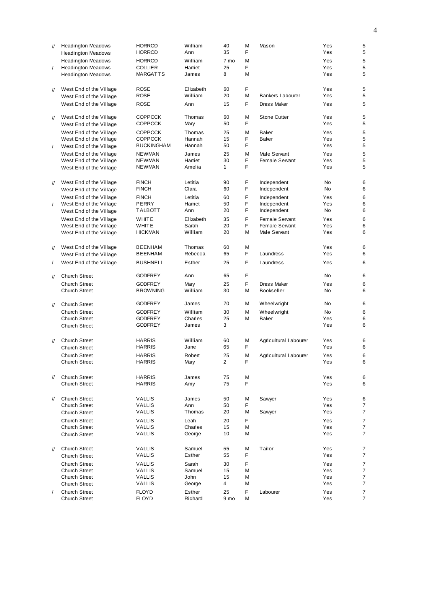| $\mathcal{U}$     | <b>Headington Meadows</b><br><b>Headington Meadows</b> | <b>HORROD</b><br><b>HORROD</b> | William<br>Ann     | 40<br>35     | M<br>F | Mason                            | Yes<br>Yes | 5<br>5         |
|-------------------|--------------------------------------------------------|--------------------------------|--------------------|--------------|--------|----------------------------------|------------|----------------|
|                   | <b>Headington Meadows</b>                              | <b>HORROD</b>                  | William            | 7 mo         | M      |                                  | Yes        | 5              |
| $\prime$          | <b>Headington Meadows</b>                              | <b>COLLIER</b>                 | Harriet            | 25           | F      |                                  | Yes        | 5              |
|                   | <b>Headington Meadows</b>                              | <b>MARGATTS</b>                | James              | 8            | M      |                                  | Yes        | 5              |
|                   |                                                        |                                |                    |              |        |                                  |            |                |
| $\mathcal{U}$     | West End of the Village                                | <b>ROSE</b>                    | Elizabeth          | 60           | F      |                                  | Yes        | 5              |
|                   | West End of the Village                                | ROSE                           | William            | 20           | M      | <b>Bankers Labourer</b>          | Yes        | 5              |
|                   | West End of the Village                                | ROSE                           | Ann                | 15           | F      | <b>Dress Maker</b>               | Yes        | 5              |
|                   |                                                        |                                |                    |              |        |                                  |            |                |
| $\prime\prime$    | West End of the Village                                | <b>COPPOCK</b>                 | Thomas             | 60           | M      | <b>Stone Cutter</b>              | Yes        | 5              |
|                   | West End of the Village                                | <b>COPPOCK</b>                 | Mary               | 50           | F      |                                  | Yes        | 5              |
|                   | West End of the Village                                | <b>COPPOCK</b>                 | Thomas             | 25           | M      | Baker                            | Yes        | 5              |
|                   | West End of the Village                                | <b>COPPOCK</b>                 | Hannah             | 15           | F      | Baker                            | Yes        | 5              |
| $\sqrt{2}$        | West End of the Village                                | <b>BUCKINGHAM</b>              | Hannah             | 50           | F      |                                  | Yes        | 5              |
|                   | West End of the Village                                | <b>NEWMAN</b>                  | James              | 25           | M      | Male Servant                     | Yes        | 5              |
|                   | West End of the Village                                | <b>NEWMAN</b>                  | Harriet            | 30           | F      | Female Servant                   | Yes        | 5              |
|                   | West End of the Village                                | <b>NEWMAN</b>                  | Amelia             | $\mathbf{1}$ | F      |                                  | Yes        | 5              |
|                   |                                                        |                                |                    |              |        |                                  |            |                |
| $^{\prime\prime}$ | West End of the Village                                | <b>FINCH</b><br><b>FINCH</b>   | Letitia<br>Clara   | 90<br>60     | F<br>F | Independent                      | No<br>No   | 6<br>6         |
|                   | West End of the Village                                |                                |                    |              |        | Independent                      |            |                |
|                   | West End of the Village                                | <b>FINCH</b>                   | Letitia            | 60           | F      | Independent                      | Yes        | 6              |
| $\prime$          | West End of the Village                                | PERRY<br>TALBOTT               | Harriet<br>Ann     | 50<br>20     | F<br>F | Independent<br>Independent       | Yes<br>No  | 6<br>6         |
|                   | West End of the Village                                |                                |                    |              |        |                                  |            |                |
|                   | West End of the Village<br>West End of the Village     | WHITE<br>WHITE                 | Elizabeth<br>Sarah | 35<br>20     | F<br>F | Female Servant<br>Female Servant | Yes<br>Yes | 6<br>6         |
|                   | West End of the Village                                | <b>HICKMAN</b>                 | William            | 20           | M      | Male Servant                     | Yes        | 6              |
|                   |                                                        |                                |                    |              |        |                                  |            |                |
| $^{\prime\prime}$ | West End of the Village                                | <b>BEENHAM</b>                 | Thomas             | 60           | M      |                                  | Yes        | 6              |
|                   | West End of the Village                                | <b>BEENHAM</b>                 | Rebecca            | 65           | F      | Laundress                        | Yes        | 6              |
| $\sqrt{2}$        | West End of the Village                                | <b>BUSHNELL</b>                | Esther             | 25           | F      | Laundress                        | Yes        | 6              |
|                   |                                                        |                                |                    |              |        |                                  |            |                |
| $\mathcal{U}$     | <b>Church Street</b>                                   | <b>GODFREY</b>                 | Ann                | 65           | F      |                                  | No         | 6              |
|                   | <b>Church Street</b>                                   | <b>GODFREY</b>                 | Mary               | 25           | F      | <b>Dress Maker</b>               | Yes        | 6              |
|                   | <b>Church Street</b>                                   | <b>BROWNING</b>                | William            | 30           | М      | Bookseller                       | No         | 6              |
|                   |                                                        |                                |                    |              |        |                                  |            |                |
| $^{\prime\prime}$ | <b>Church Street</b>                                   | <b>GODFREY</b>                 | James              | 70           | M      | Wheelwright                      | No         | 6              |
|                   | Church Street                                          | <b>GODFREY</b>                 | William            | 30           | M      | Wheelwright                      | No         | 6              |
|                   | <b>Church Street</b>                                   | <b>GODFREY</b>                 | Charles            | 25           | M      | Baker                            | Yes        | 6              |
|                   | <b>Church Street</b>                                   | <b>GODFREY</b>                 | James              | 3            |        |                                  | Yes        | 6              |
|                   |                                                        |                                |                    |              |        |                                  |            |                |
| $\mathcal{U}$     | <b>Church Street</b>                                   | <b>HARRIS</b>                  | William            | 60           | M      | Agricultural Labourer            | Yes        | 6              |
|                   | <b>Church Street</b>                                   | <b>HARRIS</b>                  | Jane               | 65           | F      |                                  | Yes        | 6              |
|                   | <b>Church Street</b>                                   | <b>HARRIS</b>                  | Robert             | 25           | M      | Agricultural Labourer            | Yes        | 6              |
|                   | <b>Church Street</b>                                   | HARRIS                         | Mary               | 2            | F      |                                  | Yes        | 6              |
|                   |                                                        |                                |                    |              |        |                                  |            |                |
| 11                | <b>Church Street</b><br><b>Church Street</b>           | <b>HARRIS</b><br><b>HARRIS</b> | James              | 75<br>75     | M<br>F |                                  | Yes<br>Yes | 6<br>6         |
|                   |                                                        |                                | Amy                |              |        |                                  |            |                |
|                   | <b>Church Street</b>                                   |                                |                    |              |        | Sawyer                           |            |                |
| $^{\prime\prime}$ | Church Street                                          | <b>VALLIS</b><br><b>VALLIS</b> | James<br>Ann       | 50<br>50     | M<br>F |                                  | Yes<br>Yes | 6<br>7         |
|                   | <b>Church Street</b>                                   | VALLIS                         | Thomas             | 20           | М      | Sawyer                           | Yes        | $\overline{7}$ |
|                   | <b>Church Street</b>                                   | <b>VALLIS</b>                  | Leah               | 20           | F      |                                  | Yes        | $\overline{7}$ |
|                   | <b>Church Street</b>                                   | <b>VALLIS</b>                  | Charles            | 15           | М      |                                  | Yes        | 7              |
|                   | <b>Church Street</b>                                   | VALLIS                         | George             | 10           | М      |                                  | Yes        | $\overline{7}$ |
|                   |                                                        |                                |                    |              |        |                                  |            |                |
| $^{\prime\prime}$ | <b>Church Street</b>                                   | <b>VALLIS</b>                  | Samuel             | 55           | M      | Tailor                           | Yes        | 7              |
|                   | <b>Church Street</b>                                   | <b>VALLIS</b>                  | Esther             | 55           | F      |                                  | Yes        | 7              |
|                   | <b>Church Street</b>                                   | <b>VALLIS</b>                  | Sarah              | 30           | F      |                                  | Yes        | $\overline{7}$ |
|                   | <b>Church Street</b>                                   | <b>VALLIS</b>                  | Samuel             | 15           | M      |                                  | Yes        | 7              |
|                   | <b>Church Street</b>                                   | <b>VALLIS</b>                  | John               | 15           | М      |                                  | Yes        | $\overline{7}$ |
|                   | <b>Church Street</b>                                   | VALLIS                         | George             | 4            | M      |                                  | Yes        | $\overline{7}$ |
| $\prime$          | <b>Church Street</b>                                   | <b>FLOYD</b>                   | Esther             | 25           | F      | Labourer                         | Yes        | 7              |
|                   | <b>Church Street</b>                                   | <b>FLOYD</b>                   | Richard            | 9 mo         | М      |                                  | Yes        | 7              |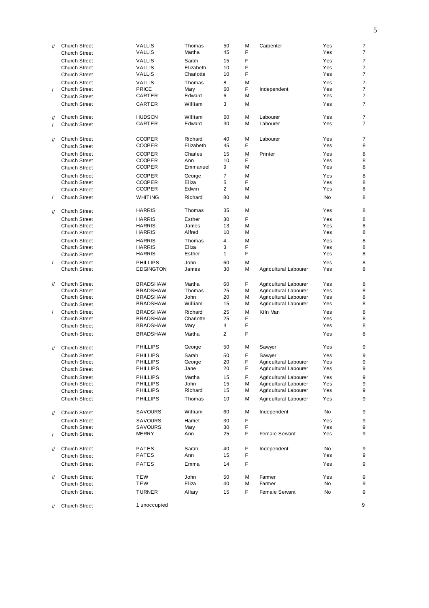| $^{\prime\prime}$ | <b>Church Street</b> | <b>VALLIS</b>    | Thomas    | 50             | M      | Carpenter                                      | Yes        | $\overline{7}$                   |
|-------------------|----------------------|------------------|-----------|----------------|--------|------------------------------------------------|------------|----------------------------------|
|                   | <b>Church Street</b> | <b>VALLIS</b>    | Martha    | 45             | F      |                                                | Yes        | $\overline{7}$                   |
|                   | <b>Church Street</b> | <b>VALLIS</b>    | Sarah     | 15             | F      |                                                | Yes        | $\overline{7}$                   |
|                   | <b>Church Street</b> | <b>VALLIS</b>    | Elizabeth | 10             | F      |                                                | Yes        | $\overline{7}$                   |
|                   | <b>Church Street</b> | <b>VALLIS</b>    | Charlotte | 10             | F      |                                                | Yes        | $\overline{7}$                   |
|                   | <b>Church Street</b> | <b>VALLIS</b>    | Thomas    | 8              | M      |                                                | Yes        | $\overline{7}$                   |
| $\prime$          | <b>Church Street</b> | <b>PRICE</b>     | Mary      | 60             | F      | Independent                                    | Yes        | $\overline{7}$                   |
|                   | <b>Church Street</b> | CARTER           | Edward    | 6              | M      |                                                | Yes        | $\overline{7}$                   |
|                   |                      |                  |           |                |        |                                                |            |                                  |
|                   | Church Street        | CARTER           | William   | 3              | M      |                                                | Yes        | $\overline{7}$                   |
|                   |                      |                  | William   |                |        |                                                |            |                                  |
| $^{\prime\prime}$ | <b>Church Street</b> | <b>HUDSON</b>    | Edward    | 60             | M<br>M | Labourer<br>Labourer                           | Yes<br>Yes | $\overline{7}$<br>$\overline{7}$ |
| $\prime$          | <b>Church Street</b> | CARTER           |           | 30             |        |                                                |            |                                  |
|                   |                      |                  |           |                |        |                                                |            |                                  |
| $^{\prime\prime}$ | <b>Church Street</b> | <b>COOPER</b>    | Richard   | 40             | M      | Labourer                                       | Yes        | $\overline{7}$                   |
|                   | <b>Church Street</b> | COOPER           | Elizabeth | 45             | F      |                                                | Yes        | 8                                |
|                   | <b>Church Street</b> | <b>COOPER</b>    | Charles   | 15             | M      | Printer                                        | Yes        | 8                                |
|                   | <b>Church Street</b> | <b>COOPER</b>    | Ann       | 10             | F      |                                                | Yes        | 8                                |
|                   | <b>Church Street</b> | COOPER           | Emmanuel  | 9              | M      |                                                | Yes        | 8                                |
|                   | <b>Church Street</b> | <b>COOPER</b>    | George    | $\overline{7}$ | M      |                                                | Yes        | 8                                |
|                   | <b>Church Street</b> | <b>COOPER</b>    | Eliza     | 5              | F      |                                                | Yes        | 8                                |
|                   | <b>Church Street</b> | <b>COOPER</b>    | Edwin     | $\overline{2}$ | M      |                                                | Yes        | 8                                |
|                   |                      |                  |           |                |        |                                                |            |                                  |
| $\prime$          | <b>Church Street</b> | <b>WHITING</b>   | Richard   | 80             | M      |                                                | No         | 8                                |
|                   |                      | <b>HARRIS</b>    | Thomas    | 35             | M      |                                                | Yes        | 8                                |
| $^{\prime\prime}$ | <b>Church Street</b> |                  |           |                |        |                                                |            |                                  |
|                   | <b>Church Street</b> | <b>HARRIS</b>    | Esther    | 30             | F      |                                                | Yes        | 8                                |
|                   | <b>Church Street</b> | <b>HARRIS</b>    | James     | 13             | M      |                                                | Yes        | 8                                |
|                   | <b>Church Street</b> | <b>HARRIS</b>    | Alfred    | 10             | M      |                                                | Yes        | 8                                |
|                   | <b>Church Street</b> | <b>HARRIS</b>    | Thomas    | 4              | M      |                                                | Yes        | 8                                |
|                   | <b>Church Street</b> | <b>HARRIS</b>    | Eliza     | 3              | F      |                                                | Yes        | 8                                |
|                   | <b>Church Street</b> | <b>HARRIS</b>    | Esther    | $\mathbf{1}$   | F      |                                                | Yes        | 8                                |
| $\prime$          | <b>Church Street</b> | <b>PHILLIPS</b>  | John      | 60             | M      |                                                | Yes        | 8                                |
|                   | <b>Church Street</b> | <b>EDGINGTON</b> | James     | 30             | M      | Agricultural Labourer                          | Yes        | 8                                |
|                   |                      |                  |           |                |        |                                                |            |                                  |
| $^{\prime\prime}$ | <b>Church Street</b> | BRADSHAW         | Martha    | 60             | F      | Agricultural Labourer                          | Yes        | 8                                |
|                   | <b>Church Street</b> | BRADSHAW         | Thomas    | 25             | M      |                                                | Yes        | 8                                |
|                   | <b>Church Street</b> | BRADSHAW         | John      | 20             | M      | Agricultural Labourer<br>Agricultural Labourer | Yes        | 8                                |
|                   |                      | BRADSHAW         | William   | 15             | M      | Agricultural Labourer                          | Yes        | 8                                |
|                   | <b>Church Street</b> |                  |           |                |        |                                                |            |                                  |
| $\prime$          | <b>Church Street</b> | <b>BRADSHAW</b>  | Richard   | 25             | M      | Kiln Man                                       | Yes        | 8                                |
|                   | <b>Church Street</b> | BRADSHAW         | Charlotte | 25             | F      |                                                | Yes        | 8                                |
|                   | <b>Church Street</b> | BRADSHAW         | Mary      | 4              | F      |                                                | Yes        | 8                                |
|                   | <b>Church Street</b> | <b>BRADSHAW</b>  | Martha    | $\overline{2}$ | F      |                                                | Yes        | 8                                |
|                   |                      |                  |           |                |        |                                                |            |                                  |
| $^{\prime\prime}$ | <b>Church Street</b> | PHILLIPS         |           |                |        |                                                |            |                                  |
|                   |                      |                  | George    | 50             | M      | Sawyer                                         | Yes        | 9                                |
|                   | <b>Church Street</b> | <b>PHILLIPS</b>  | Sarah     | 50             | F      | Sawyer                                         | Yes        | 9                                |
|                   | <b>Church Street</b> | PHILLIPS         | George    | 20             | F      | Agricultural Labourer                          | Yes        | 9                                |
|                   | <b>Church Street</b> | PHILLIPS         | Jane      | 20             | F      | Agricultural Labourer                          | Yes        | 9                                |
|                   |                      |                  |           |                |        |                                                |            |                                  |
|                   | <b>Church Street</b> | <b>PHILLIPS</b>  | Martha    | 15             | F      | Agricultural Labourer                          | Yes        | 9                                |
|                   | <b>Church Street</b> | <b>PHILLIPS</b>  | John      | 15             | M      | Agricultural Labourer                          | Yes        | 9                                |
|                   | <b>Church Street</b> | PHILLIPS         | Richard   | 15             | M      | Agricultural Labourer                          | Yes        | 9                                |
|                   | <b>Church Street</b> | <b>PHILLIPS</b>  | Thomas    | 10             | M      | Agricultural Labourer                          | Yes        | 9                                |
|                   |                      | SAVOURS          | William   | 60             | M      |                                                | No         | 9                                |
| $\mathcal{U}$     | <b>Church Street</b> |                  |           |                |        | Independent                                    |            |                                  |
|                   | <b>Church Street</b> | SAVOURS          | Harriet   | 30             | F      |                                                | Yes        | 9                                |
|                   | <b>Church Street</b> | SAVOURS          | Mary      | 30             | F      |                                                | Yes        | 9                                |
|                   | <b>Church Street</b> | MERRY            | Ann       | 25             | F      | Female Servant                                 | Yes        | 9                                |
|                   |                      |                  |           |                |        |                                                |            |                                  |
| $^{\prime\prime}$ | <b>Church Street</b> | PATES            | Sarah     | 40             | F      | Independent                                    | No         | 9                                |
|                   | <b>Church Street</b> | PATES            | Ann       | 15             | F      |                                                | Yes        | 9                                |
|                   | <b>Church Street</b> | PATES            | Emma      | 14             | F      |                                                | Yes        | 9                                |
|                   |                      |                  |           |                |        |                                                |            |                                  |
| $\mathcal{U}$     | <b>Church Street</b> | <b>TEW</b>       | John      | 50             | M      | Farmer                                         | Yes        | 9                                |
|                   | <b>Church Street</b> | <b>TEW</b>       | Eliza     | 40             | M      | Farmer                                         | No         | 9                                |
|                   | <b>Church Street</b> | <b>TURNER</b>    | Allary    | 15             | F      | Female Servant                                 | No         | 9                                |
| $^{\prime\prime}$ | <b>Church Street</b> | 1 unoccupied     |           |                |        |                                                |            | 9                                |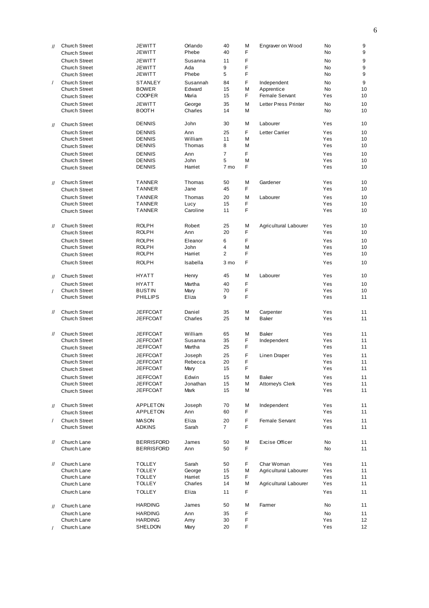| $^{\prime\prime}$ | <b>Church Street</b>                  | <b>JEWITT</b>     | Orlando           | 40             | M           | Engraver on Wood      | <b>No</b>  | 9        |
|-------------------|---------------------------------------|-------------------|-------------------|----------------|-------------|-----------------------|------------|----------|
|                   | <b>Church Street</b>                  | JEWITT            | Phebe             | 40             | F           |                       | <b>No</b>  | 9        |
|                   | Church Street                         | <b>JEWITT</b>     | Susanna           | 11             | F           |                       | <b>No</b>  | 9        |
|                   | <b>Church Street</b>                  | JEWITT            | Ada               | 9              | F           |                       | <b>No</b>  | 9        |
|                   | <b>Church Street</b>                  | JEWITT            | Phebe             | 5              | F           |                       | <b>No</b>  | 9        |
| $\prime$          | <b>Church Street</b>                  | <b>STANLEY</b>    | Susannah          | 84             | F           |                       | <b>No</b>  | 9        |
|                   |                                       |                   |                   |                |             | Independent           |            |          |
|                   | <b>Church Street</b>                  | <b>BOWER</b>      | Edward            | 15             | M           | Apprentice            | <b>No</b>  | 10       |
|                   | <b>Church Street</b>                  | <b>COOPER</b>     | Maria             | 15             | F           | <b>Female Servant</b> | Yes        | 10       |
|                   | <b>Church Street</b>                  | <b>JEWITT</b>     | George            | 35             | M           | Letter Press Printer  | <b>No</b>  | 10       |
|                   | <b>Church Street</b>                  | <b>BOOTH</b>      | Charles           | 14             | M           |                       | <b>No</b>  | 10       |
|                   |                                       |                   |                   |                |             |                       |            |          |
| $\mathcal{U}$     | <b>Church Street</b>                  | <b>DENNIS</b>     | John              | 30             | M           | Labourer              | Yes        | 10       |
|                   | <b>Church Street</b>                  | <b>DENNIS</b>     | Ann               | 25             | F           | Letter Carrier        | Yes        | 10       |
|                   | <b>Church Street</b>                  | <b>DENNIS</b>     | William           | 11             | M           |                       | Yes        | 10       |
|                   | <b>Church Street</b>                  | <b>DENNIS</b>     | Thomas            | 8              | M           |                       | Yes        | 10       |
|                   | <b>Church Street</b>                  | <b>DENNIS</b>     | Ann               | $\overline{7}$ | F           |                       | Yes        | 10       |
|                   | <b>Church Street</b>                  | <b>DENNIS</b>     | John              | 5              | M           |                       | Yes        | 10       |
|                   |                                       | <b>DENNIS</b>     | Harriet           | 7 mo           | F           |                       | Yes        | 10       |
|                   | <b>Church Street</b>                  |                   |                   |                |             |                       |            |          |
|                   |                                       |                   |                   |                |             |                       |            |          |
| $\mathcal{U}$     | <b>Church Street</b>                  | <b>TANNER</b>     | Thomas            | 50             | M           | Gardener              | Yes        | 10       |
|                   | <b>Church Street</b>                  | <b>TANNER</b>     | Jane              | 45             | F           |                       | Yes        | 10       |
|                   | <b>Church Street</b>                  | <b>TANNER</b>     | Thomas            | 20             | M           | Labourer              | Yes        | 10       |
|                   | <b>Church Street</b>                  | <b>TANNER</b>     | Lucy              | 15             | F           |                       | Yes        | 10       |
|                   | <b>Church Street</b>                  | <b>TANNER</b>     | Caroline          | 11             | F           |                       | Yes        | 10       |
|                   |                                       |                   |                   |                |             |                       |            |          |
| $\mathcal{U}$     | <b>Church Street</b>                  | <b>ROLPH</b>      | Robert            | 25             | M           | Agricultural Labourer | Yes        | 10       |
|                   | <b>Church Street</b>                  | <b>ROLPH</b>      | Ann               | 20             | F           |                       | Yes        | 10       |
|                   |                                       |                   |                   |                |             |                       |            |          |
|                   | <b>Church Street</b>                  | <b>ROLPH</b>      | Eleanor           | 6              | F           |                       | Yes        | 10       |
|                   | <b>Church Street</b>                  | <b>ROLPH</b>      | John              | 4              | M           |                       | Yes        | 10       |
|                   | <b>Church Street</b>                  | <b>ROLPH</b>      | Harriet           | $\overline{2}$ | F           |                       | Yes        | 10       |
|                   | <b>Church Street</b>                  | <b>ROLPH</b>      | Isabella          | 3 mo           | F           |                       | Yes        | 10       |
| $^{\prime\prime}$ | <b>Church Street</b>                  | <b>HYATT</b>      | Henry             | 45             | M           | Labourer              | Yes        | 10       |
|                   | <b>Church Street</b>                  | <b>HYATT</b>      | Martha            | 40             | F           |                       | Yes        | 10       |
| $\prime$          | <b>Church Street</b>                  | <b>BUSTIN</b>     | Mary              | 70             | F           |                       | Yes        | 10       |
|                   | <b>Church Street</b>                  | <b>PHILLIPS</b>   | Eliza             | 9              | F           |                       | Yes        | 11       |
|                   |                                       |                   |                   |                |             |                       |            |          |
| $^{\prime\prime}$ | <b>Church Street</b>                  | <b>JEFFCOAT</b>   | Daniel            | 35             | M           | Carpenter             | Yes        | 11       |
|                   | <b>Church Street</b>                  | JEFFCOAT          | Charles           | 25             | M           | <b>Baker</b>          | Yes        | 11       |
|                   |                                       |                   |                   |                |             |                       |            |          |
|                   |                                       |                   |                   |                |             |                       |            |          |
| $^{\prime\prime}$ | <b>Church Street</b><br>Church Street | <b>JEFFCOAT</b>   | William           | 65             | M           | Baker                 | Yes        | 11       |
|                   |                                       | JEFFCOAT          | Susanna<br>Martha | 35<br>25       | F<br>F      | Independent           | Yes<br>Yes | 11<br>11 |
|                   | <b>Church Street</b>                  | JEFFCOAT          |                   |                |             |                       |            |          |
|                   | Church Street                         | <b>JEFFCOAT</b>   | Joseph            | 25             | F           | Linen Draper          | Yes        | 11       |
|                   | <b>Church Street</b>                  | <b>JEFFCOAT</b>   | Rebecca           | 20             | F           |                       | Yes        | 11       |
|                   | <b>Church Street</b>                  | JEFFCOAT          | Mary              | 15             | F           |                       | Yes        | 11       |
|                   | <b>Church Street</b>                  | <b>JEFFCOAT</b>   | Edwin             | 15             | M           | Baker                 | Yes        | 11       |
|                   | <b>Church Street</b>                  | JEFFCOAT          | Jonathan          | 15             | M           | Attomey's Clerk       | Yes        | 11       |
|                   | <b>Church Street</b>                  | JEFFCOAT          | Mark              | 15             | M           |                       | Yes        | 11       |
|                   |                                       |                   |                   |                |             |                       |            |          |
| $\mathcal{U}$     | <b>Church Street</b>                  | APPLETON          | Joseph            | 70             | M           | Independent           | Yes        | 11       |
|                   | <b>Church Street</b>                  | APPLETON          | Ann               | 60             | F           |                       | Yes        | 11       |
|                   |                                       |                   |                   |                |             |                       |            |          |
| $\prime$          | <b>Church Street</b>                  | <b>MASON</b>      | Eliza             | 20             | F           | Female Servant        | Yes        | 11       |
|                   | <b>Church Street</b>                  | <b>ADKINS</b>     | Sarah             | $\overline{7}$ | F           |                       | Yes        | 11       |
|                   |                                       |                   |                   |                |             |                       |            |          |
| $^{\prime\prime}$ | Church Lane                           | <b>BERRISFORD</b> | James             | 50             | M           | Excise Officer        | No         | 11       |
|                   | Church Lane                           | <b>BERRISFORD</b> | Ann               | 50             | F           |                       | No         | 11       |
|                   |                                       |                   |                   |                |             |                       |            |          |
| $^{\prime\prime}$ | Church Lane                           | <b>TOLLEY</b>     | Sarah             | 50             | F           | Char Woman            | Yes        | 11       |
|                   | Church Lane                           | <b>TOLLEY</b>     | George            | 15             | М           | Agricultural Labourer | Yes        | 11       |
|                   | Church Lane                           | <b>TOLLEY</b>     | Harriet           | 15             | F           |                       | Yes        | 11       |
|                   | Church Lane                           | <b>TOLLEY</b>     | Charles           | 14             | M           | Agricultural Labourer | Yes        | 11       |
|                   | Church Lane                           | <b>TOLLEY</b>     | Eliza             | 11             | F           |                       | Yes        | 11       |
|                   |                                       |                   |                   |                |             |                       |            |          |
| $\frac{1}{2}$     | Church Lane                           | <b>HARDING</b>    | James             | 50             | M           | Farmer                | No         | 11       |
|                   | Church Lane                           | <b>HARDING</b>    | Ann               | 35             | $\mathsf F$ |                       | No         | 11       |
|                   | Church Lane                           | <b>HARDING</b>    | Amy               | 30             | $\mathsf F$ |                       | Yes        | 12       |
|                   | Church Lane                           | SHELDON           | Mary              | 20             | F           |                       | Yes        | 12       |
|                   |                                       |                   |                   |                |             |                       |            |          |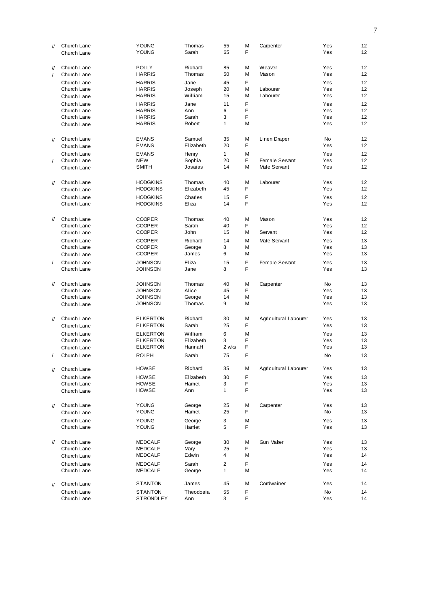| $^{\prime\prime}$ | Church Lane                | <b>YOUNG</b>                       | Thomas              | 55             | М       | Carpenter             | Yes        | 12              |
|-------------------|----------------------------|------------------------------------|---------------------|----------------|---------|-----------------------|------------|-----------------|
|                   | Church Lane                | <b>YOUNG</b>                       | Sarah               | 65             | F       |                       | Yes        | 12 <sup>2</sup> |
|                   |                            |                                    |                     |                |         |                       |            |                 |
| $^{\prime\prime}$ | Church Lane                | <b>POLLY</b><br><b>HARRIS</b>      | Richard<br>Thomas   | 85<br>50       | M<br>M  | Weaver<br>Mason       | Yes<br>Yes | 12<br>12        |
| $\prime$          | Church Lane                |                                    |                     |                |         |                       |            |                 |
|                   | Church Lane<br>Church Lane | <b>HARRIS</b><br><b>HARRIS</b>     | Jane                | 45<br>20       | F.<br>M | Labourer              | Yes<br>Yes | 12<br>12        |
|                   |                            | <b>HARRIS</b>                      | Joseph<br>William   | 15             | M       | Labourer              | Yes        | 12              |
|                   | Church Lane                |                                    |                     |                | F       |                       |            | 12              |
|                   | Church Lane<br>Church Lane | <b>HARRIS</b><br><b>HARRIS</b>     | Jane<br>Ann         | 11<br>6        | F       |                       | Yes<br>Yes | 12              |
|                   | Church Lane                | <b>HARRIS</b>                      | Sarah               | 3              | F       |                       | Yes        | 12              |
|                   | Church Lane                | <b>HARRIS</b>                      | Robert              | 1              | M       |                       | Yes        | 12              |
|                   |                            |                                    |                     |                |         |                       |            |                 |
| $^{\prime\prime}$ | Church Lane                | <b>EVANS</b>                       | Samuel              | 35             | M       | Linen Draper          | <b>No</b>  | 12              |
|                   | Church Lane                | <b>EVANS</b>                       | Elizabeth           | 20             | F       |                       | Yes        | 12              |
|                   | Church Lane                | <b>EVANS</b>                       | Henry               | $\mathbf{1}$   | M       |                       | Yes        | 12              |
| $\prime$          | Church Lane                | <b>NEW</b>                         | Sophia              | 20             | F.      | Female Servant        | Yes        | 12              |
|                   | Church Lane                | <b>SMITH</b>                       | Josaias             | 14             | M       | Male Servant          | Yes        | 12              |
|                   |                            |                                    |                     |                |         |                       |            |                 |
| $^{\prime\prime}$ | Church Lane                | <b>HODGKINS</b><br><b>HODGKINS</b> | Thomas<br>Elizabeth | 40<br>45       | M<br>F  | Labourer              | Yes<br>Yes | 12<br>12        |
|                   | Church Lane                |                                    |                     |                |         |                       |            |                 |
|                   | Church Lane                | <b>HODGKINS</b>                    | Charles<br>Eliza    | 15             | F<br>F  |                       | Yes        | 12              |
|                   | Church Lane                | <b>HODGKINS</b>                    |                     | 14             |         |                       | Yes        | 12              |
| $^{\prime\prime}$ | Church Lane                | <b>COOPER</b>                      | Thomas              | 40             | M       | Mason                 | Yes        | 12              |
|                   | Church Lane                | <b>COOPER</b>                      | Sarah               | 40             | F       |                       | Yes        | 12              |
|                   | Church Lane                | <b>COOPER</b>                      | John                | 15             | M       | Servant               | Yes        | 12              |
|                   | Church Lane                | <b>COOPER</b>                      | Richard             | 14             | M       | Male Servant          | Yes        | 13              |
|                   | Church Lane                | <b>COOPER</b>                      | George              | 8              | M       |                       | Yes        | 13              |
|                   | Church Lane                | <b>COOPER</b>                      | James               | 6              | M       |                       | Yes        | 13              |
| $\sqrt{2}$        | Church Lane                | <b>JOHNSON</b>                     | Eliza               | 15             | F       | Female Servant        | Yes        | 13              |
|                   | Church Lane                | <b>JOHNSON</b>                     | Jane                | 8              | F       |                       | Yes        | 13              |
|                   |                            |                                    |                     |                |         |                       |            |                 |
| $^{\prime\prime}$ | Church Lane                | <b>JOHNSON</b>                     | Thomas              | 40             | M       | Carpenter             | <b>No</b>  | 13              |
|                   | Church Lane                | <b>JOHNSON</b>                     | Alice               | 45             | F.      |                       | Yes        | 13              |
|                   | Church Lane                | <b>JOHNSON</b>                     | George              | 14             | M       |                       | Yes        | 13              |
|                   | Church Lane                | <b>JOHNSON</b>                     | Thomas              | 9              | M       |                       | Yes        | 13              |
|                   | Church Lane                | <b>ELKERTON</b>                    | Richard             | 30             | M       | Agricultural Labourer | Yes        | 13              |
| $^{\prime\prime}$ | Church Lane                | <b>ELKERTON</b>                    | Sarah               | 25             | F       |                       | Yes        | 13              |
|                   | Church Lane                | <b>ELKERTON</b>                    | William             | 6              | M       |                       | Yes        | 13              |
|                   | Church Lane                | <b>ELKERTON</b>                    | Elizabeth           | 3              | F       |                       | Yes        | 13              |
|                   | Church Lane                | <b>ELKERTON</b>                    | HannaH              | 2 wks          | F       |                       | Yes        | 13              |
| $\prime$          | Church Lane                | <b>ROLPH</b>                       | Sarah               | 75             | F       |                       | <b>No</b>  | 13              |
|                   |                            |                                    |                     |                |         |                       |            |                 |
| $^{\prime\prime}$ | Church Lane                | HOWSE                              | Richard             | 35             | М       | Agricultural Labourer | Yes        | 13              |
|                   | Church Lane                | <b>HOWSE</b>                       | Elizabeth           | 30             | F       |                       | Yes        | 13              |
|                   | Church Lane                | <b>HOWSE</b>                       | Harriet             | 3              | F       |                       | Yes        | 13              |
|                   | Church Lane                | HOWSE                              | Ann                 | $\mathbf{1}$   | F       |                       | Yes        | 13              |
|                   |                            |                                    |                     |                |         |                       |            |                 |
| $^{\prime\prime}$ | Church Lane                | <b>YOUNG</b><br><b>YOUNG</b>       | George<br>Harriet   | 25<br>25       | M<br>F  | Carpenter             | Yes<br>No  | 13<br>13        |
|                   | Church Lane                |                                    |                     |                |         |                       |            |                 |
|                   | Church Lane<br>Church Lane | <b>YOUNG</b><br><b>YOUNG</b>       | George<br>Harriet   | 3<br>5         | M<br>F  |                       | Yes<br>Yes | 13              |
|                   |                            |                                    |                     |                |         |                       |            | 13              |
| $^{\prime\prime}$ | Church Lane                | <b>MEDCALF</b>                     | George              | 30             | Μ       | <b>Gun Maker</b>      | Yes        | 13              |
|                   | Church Lane                | <b>MEDCALF</b>                     | Mary                | 25             | F       |                       | Yes        | 13              |
|                   | Church Lane                | <b>MEDCALF</b>                     | Edwin               | 4              | Μ       |                       | Yes        | 14              |
|                   | Church Lane                | <b>MEDCALF</b>                     | Sarah               | $\overline{2}$ | F       |                       | Yes        | 14              |
|                   | Church Lane                | <b>MEDCALF</b>                     | George              | 1              | М       |                       | Yes        | 14              |
|                   |                            |                                    |                     |                |         |                       |            |                 |
| $^{\prime\prime}$ | Church Lane                | <b>STANTON</b>                     | James               | 45             | М       | Cordwainer            | Yes        | 14              |
|                   | Church Lane                | <b>STANTON</b>                     | Theodosia           | 55             | F       |                       | No         | 14              |
|                   | Church Lane                | STRONDLEY                          | Ann                 | 3              | F       |                       | Yes        | 14              |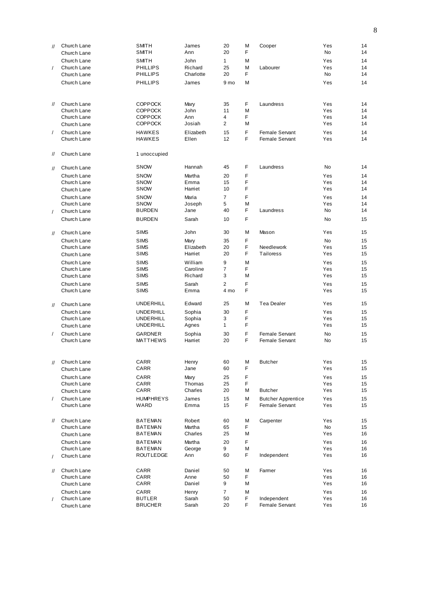| $^{\prime\prime}$ | Church Lane                | <b>SMITH</b>                         | James              | 20             | M      | Cooper                                      | Yes        | 14       |
|-------------------|----------------------------|--------------------------------------|--------------------|----------------|--------|---------------------------------------------|------------|----------|
|                   | Church Lane                | SMITH                                | Ann                | 20             | F      |                                             | No         | 14       |
|                   | Church Lane                | <b>SMITH</b>                         | John               | $\mathbf{1}$   | M      |                                             | Yes        | 14       |
| $\sqrt{2}$        | Church Lane                | <b>PHILLIPS</b>                      | Richard            | 25             | M      | Labourer                                    | Yes        | 14       |
|                   | Church Lane                | <b>PHILLIPS</b>                      | Charlotte          | 20             | F      |                                             | No         | 14       |
|                   | Church Lane                | <b>PHILLIPS</b>                      | James              | 9 mo           | M      |                                             | Yes        | 14       |
|                   |                            |                                      |                    |                |        |                                             |            |          |
|                   |                            |                                      |                    |                |        |                                             |            |          |
| $^{\prime\prime}$ | Church Lane                | <b>COPPOCK</b>                       | Mary               | 35             | F      | Laundress                                   | Yes        | 14       |
|                   | Church Lane<br>Church Lane | <b>COPPOCK</b><br><b>COPPOCK</b>     | John<br>Ann        | 11<br>4        | M<br>F |                                             | Yes<br>Yes | 14<br>14 |
|                   | Church Lane                | <b>COPPOCK</b>                       | Josiah             | $\overline{2}$ | M      |                                             | Yes        | 14       |
|                   | Church Lane                |                                      |                    |                | F      |                                             | Yes        | 14       |
| $\sqrt{2}$        | Church Lane                | <b>HAWKES</b><br><b>HAWKES</b>       | Elizabeth<br>Ellen | 15<br>12       | F      | Female Servant<br>Female Servant            | Yes        | 14       |
|                   |                            |                                      |                    |                |        |                                             |            |          |
| $^{\prime\prime}$ | Church Lane                | 1 unoccupied                         |                    |                |        |                                             |            |          |
| $\mathcal{U}$     | Church Lane                | <b>SNOW</b>                          | Hannah             | 45             | F      | Laundress                                   | No         | 14       |
|                   | Church Lane                | <b>SNOW</b>                          | Martha             | 20             | F      |                                             | Yes        | 14       |
|                   | Church Lane                | <b>SNOW</b>                          | Emma               | 15             | F      |                                             | Yes        | 14       |
|                   | Church Lane                | <b>SNOW</b>                          | Harriet            | 10             | F      |                                             | Yes        | 14       |
|                   | Church Lane                | <b>SNOW</b>                          | Maria              | $\overline{7}$ | F      |                                             | Yes        | 14       |
|                   | Church Lane                | <b>SNOW</b>                          | Joseph             | 5              | M      |                                             | Yes        | 14       |
| $\prime$          | Church Lane                | <b>BURDEN</b>                        | Jane               | 40             | F      | Laundress                                   | No.        | 14       |
|                   | Church Lane                | <b>BURDEN</b>                        | Sarah              | 10             | F      |                                             | <b>No</b>  | 15       |
| $\prime\prime$    | Church Lane                | <b>SIMS</b>                          | John               | 30             | M      | Mason                                       | Yes        | 15       |
|                   | Church Lane                | <b>SIMS</b>                          | Mary               | 35             | F      |                                             | No         | 15       |
|                   | Church Lane                | <b>SIMS</b>                          | Elizabeth          | 20             | F      | Needlework                                  | Yes        | 15       |
|                   | Church Lane                | <b>SIMS</b>                          | Harriet            | 20             | F      | Tailoress                                   | Yes        | 15       |
|                   | Church Lane                | <b>SIMS</b>                          | William            | 9              | M      |                                             | Yes        | 15       |
|                   | Church Lane                | <b>SIMS</b>                          | Caroline           | $\overline{7}$ | F      |                                             | Yes        | 15       |
|                   | Church Lane                | <b>SIMS</b>                          | Richard            | 3              | M      |                                             | Yes        | 15       |
|                   | Church Lane                | <b>SIMS</b>                          | Sarah              | $\overline{2}$ | F      |                                             | Yes        | 15       |
|                   | Church Lane                | <b>SIMS</b>                          | Emma               | 4 mo           | F      |                                             | Yes        | 15       |
|                   | Church Lane                | <b>UNDERHILL</b>                     | Edward             | 25             | М      | Tea Dealer                                  | Yes        | 15       |
| $^{\prime\prime}$ |                            |                                      |                    |                | F      |                                             |            |          |
|                   | Church Lane<br>Church Lane | <b>UNDERHILL</b><br><b>UNDERHILL</b> | Sophia<br>Sophia   | 30<br>3        | F      |                                             | Yes<br>Yes | 15<br>15 |
|                   | Church Lane                | <b>UNDERHILL</b>                     | Agnes              | $\mathbf{1}$   | F      |                                             | Yes        | 15       |
|                   |                            |                                      |                    |                |        |                                             |            |          |
| $\prime$          | Church Lane<br>Church Lane | <b>GARDNER</b><br>MATTHEWS           | Sophia<br>Harriet  | 30<br>20       | F<br>F | Female Servant<br>Female Servant            | No<br>No   | 15<br>15 |
|                   |                            |                                      |                    |                |        |                                             |            |          |
|                   | Church Lane                | CARR                                 | Henry              | 60             | M      | <b>Butcher</b>                              | Yes        | 15       |
| 11                | Church Lane                | CARR                                 | Jane               | 60             | F      |                                             | Yes        | 15       |
|                   | Church Lane                | CARR                                 |                    | 25             | F      |                                             | Yes        | 15       |
|                   | Church Lane                | CARR                                 | Mary<br>Thomas     | 25             | F      |                                             | Yes        | 15       |
|                   | Church Lane                | CARR                                 | Charles            | 20             | М      | <b>Butcher</b>                              | Yes        | 15       |
|                   |                            |                                      |                    |                |        |                                             | Yes        |          |
| $\sqrt{2}$        | Church Lane<br>Church Lane | <b>HUMPHREYS</b><br>WARD             | James<br>Emma      | 15<br>15       | М<br>F | <b>Butcher Apprentice</b><br>Female Servant | Yes        | 15<br>15 |
|                   |                            |                                      |                    |                |        |                                             |            |          |
| $^{\prime\prime}$ | Church Lane                | <b>BATEMAN</b>                       | Robert             | 60             | М      | Carpenter                                   | Yes        | 15       |
|                   | Church Lane                | <b>BATEMAN</b>                       | Martha             | 65             | F      |                                             | No         | 15       |
|                   | Church Lane                | BATEMAN                              | Charles            | 25             | Μ      |                                             | Yes        | 16       |
|                   | Church Lane                | <b>BATEMAN</b>                       | Martha             | 20             | F      |                                             | Yes        | 16       |
|                   | Church Lane                | BATEMAN                              | George             | 9              | M      |                                             | Yes        | 16       |
|                   | Church Lane                | ROUTLEDGE                            | Ann                | 60             | F      | Independent                                 | Yes        | 16       |
| $^{\prime\prime}$ | Church Lane                | CARR                                 | Daniel             | 50             | M      | Farmer                                      | Yes        | 16       |
|                   | Church Lane                | CARR                                 | Anne               | 50             | F      |                                             | Yes        | 16       |
|                   | Church Lane                | CARR                                 | Daniel             | 9              | Μ      |                                             | Yes        | 16       |
|                   | Church Lane                | CARR                                 | Henry              | 7              | М      |                                             | Yes        | 16       |
|                   | Church Lane                | <b>BUTLER</b>                        | Sarah              | 50             | F      | Independent                                 | Yes        | 16       |
|                   | Church Lane                | <b>BRUCHER</b>                       | Sarah              | 20             | F      | Female Servant                              | Yes        | 16       |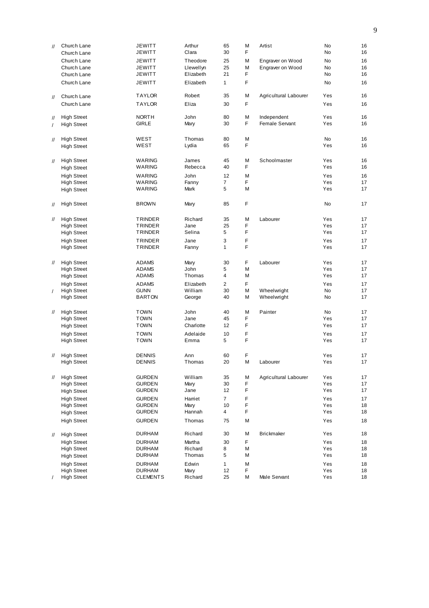| $\prime\prime$    | Church Lane        | <b>JEWITT</b>   | Arthur    | 65             | M  | Artist                | <b>No</b> | 16 |
|-------------------|--------------------|-----------------|-----------|----------------|----|-----------------------|-----------|----|
|                   | Church Lane        | <b>JEWITT</b>   | Clara     | 30             | F  |                       | <b>No</b> | 16 |
|                   | Church Lane        | <b>JEWITT</b>   | Theodore  | 25             | М  | Engraver on Wood      | <b>No</b> | 16 |
|                   | Church Lane        | <b>JEWITT</b>   | Llewellyn | 25             | M  | Engraver on Wood      | <b>No</b> | 16 |
|                   | Church Lane        | JEWITT          | Elizabeth | 21             | F  |                       | No.       | 16 |
|                   | Church Lane        | <b>JEWITT</b>   | Elizabeth | $\mathbf{1}$   | F  |                       | <b>No</b> | 16 |
| $^{\prime\prime}$ | Church Lane        | <b>TAYLOR</b>   | Robert    | 35             | M  | Agricultural Labourer | Yes       | 16 |
|                   | Church Lane        | <b>TAYLOR</b>   | Eliza     | 30             | F. |                       | Yes       | 16 |
|                   |                    |                 |           |                |    |                       |           |    |
| $^{\prime\prime}$ | <b>High Street</b> | <b>NORTH</b>    | John      | 80             | M  | Independent           | Yes       | 16 |
| $\prime$          | <b>High Street</b> | <b>GIRLE</b>    | Mary      | 30             | F  | Female Servant        | Yes       | 16 |
| 11                | <b>High Street</b> | WEST            | Thomas    | 80             | M  |                       | <b>No</b> | 16 |
|                   | <b>High Street</b> | WEST            | Lydia     | 65             | F  |                       | Yes       | 16 |
|                   |                    |                 |           |                |    |                       |           |    |
| $^{\prime\prime}$ | <b>High Street</b> | <b>WARING</b>   | James     | 45             | М  | Schoolmaster          | Yes       | 16 |
|                   | <b>High Street</b> | <b>WARING</b>   | Rebecca   | 40             | F  |                       | Yes       | 16 |
|                   | <b>High Street</b> | <b>WARING</b>   | John      | 12             | M  |                       | Yes       | 16 |
|                   | <b>High Street</b> | <b>WARING</b>   | Fanny     | $\overline{7}$ | F  |                       | Yes       | 17 |
|                   | <b>High Street</b> | <b>WARING</b>   | Mark      | 5              | M  |                       | Yes       | 17 |
|                   |                    |                 |           |                |    |                       |           |    |
| $^{\prime\prime}$ | <b>High Street</b> | <b>BROWN</b>    | Mary      | 85             | F  |                       | <b>No</b> | 17 |
| 11                | <b>High Street</b> | <b>TRINDER</b>  | Richard   | 35             | М  | Labourer              | Yes       | 17 |
|                   | <b>High Street</b> | <b>TRINDER</b>  | Jane      | 25             | F  |                       | Yes       | 17 |
|                   | <b>High Street</b> | TRINDER         | Selina    | 5              | F  |                       | Yes       | 17 |
|                   | <b>High Street</b> | <b>TRINDER</b>  | Jane      | 3              | F  |                       | Yes       | 17 |
|                   | <b>High Street</b> | TRINDER         | Fanny     | 1              | F  |                       | Yes       | 17 |
|                   |                    |                 |           |                |    |                       |           |    |
| $^{\prime\prime}$ | <b>High Street</b> | <b>ADAMS</b>    | Mary      | 30             | F  | Labourer              | Yes       | 17 |
|                   | <b>High Street</b> | <b>ADAMS</b>    | John      | 5              | М  |                       | Yes       | 17 |
|                   | <b>High Street</b> | <b>ADAMS</b>    | Thomas    | 4              | M  |                       | Yes       | 17 |
|                   | <b>High Street</b> | <b>ADAMS</b>    | Elizabeth | $\overline{2}$ | F  |                       | Yes       | 17 |
| $\prime$          | <b>High Street</b> | <b>GUNN</b>     | William   | 30             | M  | Wheelwright           | No        | 17 |
|                   | <b>High Street</b> | <b>BARTON</b>   | George    | 40             | M  | Wheelwright           | No.       | 17 |
|                   |                    |                 |           |                |    |                       |           |    |
| $^{\prime\prime}$ | <b>High Street</b> | <b>TOWN</b>     | John      | 40             | М  | Painter               | <b>No</b> | 17 |
|                   | <b>High Street</b> | <b>TOWN</b>     | Jane      | 45             | F  |                       | Yes       | 17 |
|                   | <b>High Street</b> | <b>TOWN</b>     | Charlotte | 12             | F  |                       | Yes       | 17 |
|                   | <b>High Street</b> | <b>TOWN</b>     | Adelaide  | 10             | F  |                       | Yes       | 17 |
|                   | <b>High Street</b> | <b>TOWN</b>     | Emma      | 5              | F  |                       | Yes       | 17 |
|                   |                    |                 |           |                |    |                       |           |    |
| $^{\prime\prime}$ | <b>High Street</b> | <b>DENNIS</b>   | Ann       | 60             | F  |                       | Yes       | 17 |
|                   | <b>High Street</b> | <b>DENNIS</b>   | Thomas    | 20             | М  | Labourer              | Yes       | 17 |
| $\frac{1}{2}$     | <b>High Street</b> | <b>GURDEN</b>   | William   | 35             | M  | Agricultural Labourer | Yes       | 17 |
|                   | <b>High Street</b> | <b>GURDEN</b>   | Mary      | 30             | F  |                       | Yes       | 17 |
|                   | <b>High Street</b> | <b>GURDEN</b>   | Jane      | 12             | F  |                       | Yes       | 17 |
|                   | <b>High Street</b> | <b>GURDEN</b>   | Harriet   | $\overline{7}$ | F  |                       | Yes       | 17 |
|                   | <b>High Street</b> | <b>GURDEN</b>   | Mary      | 10             | F  |                       | Yes       | 18 |
|                   | <b>High Street</b> | <b>GURDEN</b>   | Hannah    | 4              | F  |                       | Yes       | 18 |
|                   |                    |                 |           |                |    |                       |           |    |
|                   | <b>High Street</b> | <b>GURDEN</b>   | Thomas    | 75             | М  |                       | Yes       | 18 |
| $^{\prime\prime}$ | <b>High Street</b> | <b>DURHAM</b>   | Richard   | 30             | М  | <b>Brickmaker</b>     | Yes       | 18 |
|                   | <b>High Street</b> | <b>DURHAM</b>   | Martha    | 30             | F  |                       | Yes       | 18 |
|                   | <b>High Street</b> | <b>DURHAM</b>   | Richard   | 8              | М  |                       | Yes       | 18 |
|                   | <b>High Street</b> | <b>DURHAM</b>   | Thomas    | 5              | М  |                       | Yes       | 18 |
|                   | <b>High Street</b> | <b>DURHAM</b>   | Edwin     | 1              | М  |                       | Yes       | 18 |
|                   | <b>High Street</b> | <b>DURHAM</b>   | Mary      | 12             | F  |                       | Yes       | 18 |
|                   | <b>High Street</b> | <b>CLEMENTS</b> | Richard   | 25             | М  | Male Servant          | Yes       | 18 |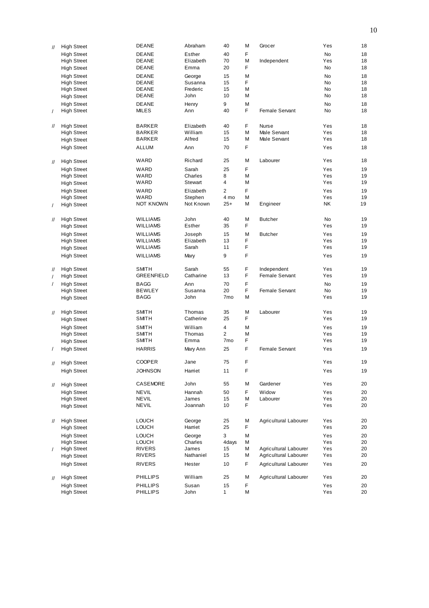| $^{\prime\prime}$ | <b>High Street</b> | <b>DEANE</b>      | Abraham   | 40              | М  | Grocer                | Yes       | 18 |
|-------------------|--------------------|-------------------|-----------|-----------------|----|-----------------------|-----------|----|
|                   | <b>High Street</b> | <b>DEANE</b>      | Esther    | 40              | F  |                       | <b>No</b> | 18 |
|                   | <b>High Street</b> | <b>DEANE</b>      | Elizabeth | 70              | M  | Independent           | Yes       | 18 |
|                   | <b>High Street</b> | DEANE             | Emma      | 20              | F  |                       | <b>No</b> | 18 |
|                   |                    |                   |           |                 |    |                       |           |    |
|                   | <b>High Street</b> | <b>DEANE</b>      | George    | 15              | M  |                       | <b>No</b> | 18 |
|                   | <b>High Street</b> | <b>DEANE</b>      | Susanna   | 15              | F  |                       | No.       | 18 |
|                   | <b>High Street</b> | <b>DEANE</b>      | Frederic  | 15              | Μ  |                       | No.       | 18 |
|                   | <b>High Street</b> | DEANE             | John      | 10              | Μ  |                       | No.       | 18 |
|                   | <b>High Street</b> | <b>DEANE</b>      | Henry     | 9               | M  |                       | No.       | 18 |
| $\prime$          | <b>High Street</b> | MILES             | Ann       | 40              | F  | Female Servant        | No.       | 18 |
|                   |                    |                   |           |                 |    |                       |           |    |
| $^{\prime\prime}$ | <b>High Street</b> | <b>BARKER</b>     | Elizabeth | 40              | F  | <b>Nurse</b>          | Yes       | 18 |
|                   | <b>High Street</b> | <b>BARKER</b>     | William   | 15              | Μ  | Male Servant          | Yes       | 18 |
|                   | <b>High Street</b> | <b>BARKER</b>     | Alfred    | 15              | Μ  | Male Servant          | Yes       | 18 |
|                   |                    |                   |           |                 |    |                       |           |    |
|                   | <b>High Street</b> | <b>ALLUM</b>      | Ann       | 70              | F  |                       | Yes       | 18 |
|                   |                    | WARD              | Richard   | 25              | M  |                       | Yes       | 18 |
| $^{\prime\prime}$ | <b>High Street</b> |                   |           |                 |    | Labourer              |           |    |
|                   | <b>High Street</b> | WARD              | Sarah     | 25              | F  |                       | Yes       | 19 |
|                   | <b>High Street</b> | WARD              | Charles   | 8               | Μ  |                       | Yes       | 19 |
|                   | <b>High Street</b> | WARD              | Stewart   | 4               | М  |                       | Yes       | 19 |
|                   | <b>High Street</b> | WARD              | Elizabeth | $\overline{2}$  | F  |                       | Yes       | 19 |
|                   | <b>High Street</b> | WARD              | Stephen   | 4 mo            | М  |                       | Yes       | 19 |
| $\prime$          | <b>High Street</b> | NOT KNOWN         | Not Known | $25+$           | M  | Engineer              | <b>NK</b> | 19 |
|                   |                    |                   |           |                 |    |                       |           |    |
|                   |                    |                   | John      | 40              | M  | <b>Butcher</b>        | <b>No</b> | 19 |
| $^{\prime\prime}$ | <b>High Street</b> | <b>WILLIAMS</b>   | Esther    | 35              | F  |                       | Yes       | 19 |
|                   | <b>High Street</b> | <b>WILLIAMS</b>   |           |                 |    |                       |           |    |
|                   | <b>High Street</b> | <b>WILLIAMS</b>   | Joseph    | 15              | M  | <b>Butcher</b>        | Yes       | 19 |
|                   | <b>High Street</b> | <b>WILLIAMS</b>   | Elizabeth | 13              | F  |                       | Yes       | 19 |
|                   | <b>High Street</b> | <b>WILLIAMS</b>   | Sarah     | 11              | F  |                       | Yes       | 19 |
|                   | <b>High Street</b> | <b>WILLIAMS</b>   | Mary      | 9               | F  |                       | Yes       | 19 |
|                   |                    |                   |           |                 |    |                       |           |    |
| $^{\prime\prime}$ | <b>High Street</b> | <b>SMITH</b>      | Sarah     | 55              | F  | Independent           | Yes       | 19 |
| $\prime$          | <b>High Street</b> | <b>GREENFIELD</b> | Catharine | 13              | F  | Female Servant        | Yes       | 19 |
| $\prime$          | <b>High Street</b> | <b>BAGG</b>       | Ann       | 70              | F  |                       | <b>No</b> | 19 |
|                   | <b>High Street</b> | <b>BEWLEY</b>     | Susanna   | 20              | F  | Female Servant        | <b>No</b> | 19 |
|                   |                    | <b>BAGG</b>       | John      | 7 <sub>mo</sub> | Μ  |                       | Yes       | 19 |
|                   | <b>High Street</b> |                   |           |                 |    |                       |           |    |
|                   |                    |                   |           |                 |    |                       |           |    |
| $\mathcal{U}$     | <b>High Street</b> | <b>SMITH</b>      | Thomas    | 35              | M  | Labourer              | Yes       | 19 |
|                   | <b>High Street</b> | SMITH             | Catherine | 25              | F  |                       | Yes       | 19 |
|                   | <b>High Street</b> | <b>SMITH</b>      | William   | $\overline{4}$  | M  |                       | Yes       | 19 |
|                   | <b>High Street</b> | <b>SMITH</b>      | Thomas    | $\overline{2}$  | М  |                       | Yes       | 19 |
|                   | <b>High Street</b> | SMITH             | Emma      | 7 <sub>mo</sub> | F  |                       | Yes       | 19 |
|                   | <b>High Street</b> | <b>HARRIS</b>     | Mary Ann  | 25              | F  | Female Servant        | Yes       | 19 |
|                   |                    |                   |           |                 |    |                       |           |    |
| $^{\prime\prime}$ | <b>High Street</b> | <b>COOPER</b>     | Jane      | 75              | F  |                       | Yes       | 19 |
|                   | <b>High Street</b> | <b>JOHNSON</b>    | Harriet   | 11              | F  |                       | Yes       | 19 |
|                   |                    |                   |           |                 |    |                       |           |    |
| $^{\prime\prime}$ | <b>High Street</b> | CASEMORE          | John      | 55              | М  | Gardener              | Yes       | 20 |
|                   | <b>High Street</b> | NEVIL             | Hannah    | 50              | F  | Widow                 | Yes       | 20 |
|                   | <b>High Street</b> | NEVIL             | James     | 15              | М  | Labourer              | Yes       | 20 |
|                   |                    | NEVIL             | Joannah   | 10              | F  |                       | Yes       | 20 |
|                   | <b>High Street</b> |                   |           |                 |    |                       |           |    |
|                   |                    |                   |           |                 |    |                       |           |    |
| $\mathcal{U}$     | <b>High Street</b> | <b>LOUCH</b>      | George    | 25              | М  | Agricultural Labourer | Yes       | 20 |
|                   | <b>High Street</b> | <b>LOUCH</b>      | Harriet   | 25              | F  |                       | Yes       | 20 |
|                   | <b>High Street</b> | <b>LOUCH</b>      | George    | 3               | М  |                       | Yes       | 20 |
|                   | <b>High Street</b> | <b>LOUCH</b>      | Charles   | 4days           | М  |                       | Yes       | 20 |
| $\prime$          | <b>High Street</b> | <b>RIVERS</b>     | James     | 15              | М  | Agricultural Labourer | Yes       | 20 |
|                   | <b>High Street</b> | <b>RIVERS</b>     | Nathaniel | 15              | М  | Agricultural Labourer | Yes       | 20 |
|                   | <b>High Street</b> | <b>RIVERS</b>     | Hester    | 10              | F. | Agricultural Labourer | Yes       | 20 |
|                   |                    |                   |           |                 |    |                       |           |    |
| $^{\prime\prime}$ | <b>High Street</b> | <b>PHILLIPS</b>   | William   | 25              | М  | Agricultural Labourer | Yes       | 20 |
|                   | <b>High Street</b> | <b>PHILLIPS</b>   | Susan     | 15              | F  |                       | Yes       | 20 |
|                   | <b>High Street</b> | <b>PHILLIPS</b>   | John      | 1               | М  |                       | Yes       | 20 |
|                   |                    |                   |           |                 |    |                       |           |    |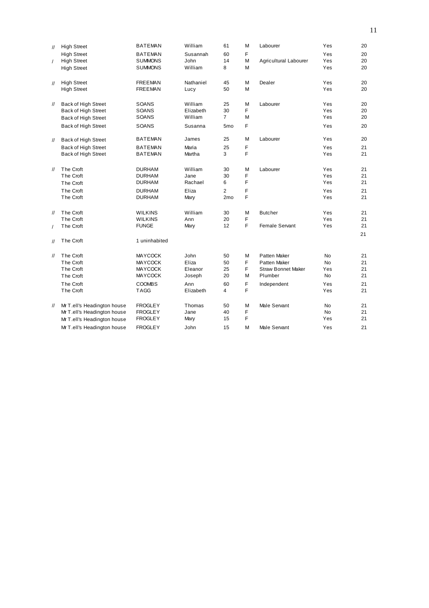| $^{\prime\prime}$ | <b>High Street</b>          | <b>BATEMAN</b> | William   | 61              | М | Labourer                  | Yes       | 20 |
|-------------------|-----------------------------|----------------|-----------|-----------------|---|---------------------------|-----------|----|
|                   | <b>High Street</b>          | <b>BATEMAN</b> | Susannah  | 60              | F |                           | Yes       | 20 |
| $\prime$          | <b>High Street</b>          | <b>SUMMONS</b> | John      | 14              | M | Agricultural Labourer     | Yes       | 20 |
|                   | <b>High Street</b>          | <b>SUMMONS</b> | William   | 8               | M |                           | Yes       | 20 |
| $\prime\prime$    | <b>High Street</b>          | <b>FREEMAN</b> | Nathaniel | 45              | M | Dealer                    | Yes       | 20 |
|                   | <b>High Street</b>          | <b>FREEMAN</b> | Lucy      | 50              | M |                           | Yes       | 20 |
| $^{\prime\prime}$ | Back of High Street         | SOANS          | William   | 25              | М | Labourer                  | Yes       | 20 |
|                   | Back of High Street         | SOANS          | Elizabeth | 30              | F |                           | Yes       | 20 |
|                   | Back of High Street         | SOANS          | William   | $\overline{7}$  | М |                           | Yes       | 20 |
|                   | Back of High Street         | SOANS          | Susanna   | 5 <sub>mo</sub> | F |                           | Yes       | 20 |
| $\mathcal{U}$     | Back of High Street         | <b>BATEMAN</b> | James     | 25              | M | Labourer                  | Yes       | 20 |
|                   | Back of High Street         | <b>BATEMAN</b> | Maria     | 25              | F |                           | Yes       | 21 |
|                   | Back of High Street         | <b>BATEMAN</b> | Martha    | 3               | F |                           | Yes       | 21 |
| $\frac{1}{2}$     | The Croft                   | <b>DURHAM</b>  | William   | 30              | M | Labourer                  | Yes       | 21 |
|                   | The Croft                   | <b>DURHAM</b>  | Jane      | 30              | F |                           | Yes       | 21 |
|                   | The Croft                   | <b>DURHAM</b>  | Rachael   | 6               | F |                           | Yes       | 21 |
|                   | The Croft                   | <b>DURHAM</b>  | Eliza     | $\overline{2}$  | F |                           | Yes       | 21 |
|                   | The Croft                   | <b>DURHAM</b>  | Mary      | 2 <sub>mo</sub> | F |                           | Yes       | 21 |
| $\prime\prime$    | The Croft                   | <b>WILKINS</b> | William   | 30              | M | <b>Butcher</b>            | Yes       | 21 |
|                   | The Croft                   | <b>WILKINS</b> | Ann       | 20              | F |                           | Yes       | 21 |
| $\prime$          | The Croft                   | <b>FUNGE</b>   | Mary      | 12              | F | Female Servant            | Yes       | 21 |
|                   |                             |                |           |                 |   |                           |           | 21 |
| $\prime\prime$    | The Croft                   | 1 uninhabited  |           |                 |   |                           |           |    |
| $\prime\prime$    | The Croft                   | <b>MAYCOCK</b> | John      | 50              | M | Patten Maker              | <b>No</b> | 21 |
|                   | The Croft                   | <b>MAYCOCK</b> | Eliza     | 50              | F | Patten Maker              | <b>No</b> | 21 |
|                   | The Croft                   | <b>MAYCOCK</b> | Eleanor   | 25              | F | <b>Straw Bonnet Maker</b> | Yes       | 21 |
|                   | The Croft                   | <b>MAYCOCK</b> | Joseph    | 20              | М | Plumber                   | <b>No</b> | 21 |
|                   | The Croft                   | <b>COOMBS</b>  | Ann       | 60              | F | Independent               | Yes       | 21 |
|                   | The Croft                   | <b>TAGG</b>    | Elizabeth | 4               | F |                           | Yes       | 21 |
| $^{\prime\prime}$ | Mr T.ell's Headington house | <b>FROGLEY</b> | Thomas    | 50              | M | Male Servant              | <b>No</b> | 21 |
|                   | Mr T.ell's Headington house | <b>FROGLEY</b> | Jane      | 40              | F |                           | <b>No</b> | 21 |
|                   | Mr T.ell's Headington house | <b>FROGLEY</b> | Mary      | 15              | F |                           | Yes       | 21 |
|                   | Mr T.ell's Headington house | <b>FROGLEY</b> | John      | 15              | М | Male Servant              | Yes       | 21 |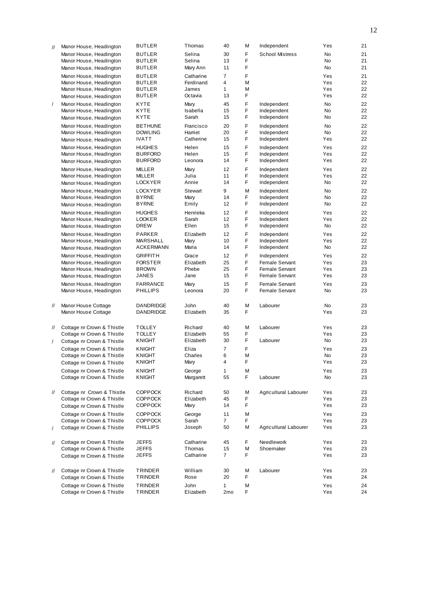| $\prime\prime$    | Manor House, Headington    | <b>BUTLER</b>                  | Thomas             | 40           | M       | Independent            | Yes        | 21       |
|-------------------|----------------------------|--------------------------------|--------------------|--------------|---------|------------------------|------------|----------|
|                   | Manor House, Headington    | <b>BUTLER</b>                  | Selina             | 30           | F       | <b>School Mistress</b> | No         | 21       |
|                   | Manor House, Headington    | <b>BUTLER</b>                  | Selina             | 13           | F       |                        | No         | 21       |
|                   | Manor House, Headington    | <b>BUTLER</b>                  | Mary Ann           | 11           | F       |                        | No         | 21       |
|                   |                            |                                |                    |              |         |                        |            |          |
|                   | Manor House, Headington    | <b>BUTLER</b><br><b>BUTLER</b> | Catharine          | 7<br>4       | F       |                        | Yes<br>Yes | 21       |
|                   | Manor House, Headington    | <b>BUTLER</b>                  | Ferdinand<br>James |              | М       |                        |            | 22       |
|                   | Manor House, Headington    | <b>BUTLER</b>                  | Octavia            | 1<br>13      | М<br>F  |                        | Yes<br>Yes | 22<br>22 |
|                   | Manor House, Headington    |                                |                    |              |         |                        |            |          |
| $\sqrt{2}$        | Manor House, Headington    | <b>KYTE</b>                    | Mary               | 45           | F       | Independent            | No         | 22       |
|                   | Manor House, Headington    | KYTE                           | Isabella           | 15           | F       | Independent            | No         | 22       |
|                   | Manor House, Headington    | <b>KYTE</b>                    | Sarah              | 15           | F       | Independent            | No         | 22       |
|                   | Manor House, Headington    | <b>BETHUNE</b>                 | Francisco          | 20           | F       | Independent            | No         | 22       |
|                   | Manor House, Headington    | <b>DOWLING</b>                 | Harriet            | 20           | F       | Independent            | No         | 22       |
|                   | Manor House, Headington    | <b>IVATT</b>                   | Catherine          | 15           | F       | Independent            | Yes        | 22       |
|                   | Manor House, Headington    | <b>HUGHES</b>                  | Helen              | 15           | F       | Independent            | Yes        | 22       |
|                   | Manor House, Headington    | <b>BURFORD</b>                 | Helen              | 15           | F       | Independent            | Yes        | 22       |
|                   | Manor House, Headington    | <b>BURFORD</b>                 | Leonora            | 14           | F.      | Independent            | Yes        | 22       |
|                   | Manor House, Headington    | <b>MILLER</b>                  | Mary               | 12           | F       | Independent            | Yes        | 22       |
|                   | Manor House, Headington    | MILLER                         | Julia              | 11           | F       | Independent            | Yes        | 22       |
|                   | Manor House, Headington    | <b>LOCKYER</b>                 | Annie              | 14           | F.      | Independent            | No         | 22       |
|                   |                            |                                |                    |              |         |                        |            |          |
|                   | Manor House, Headington    | <b>LOCKYER</b>                 | Stewart            | 9            | M       | Independent            | No.        | 22       |
|                   | Manor House, Headington    | <b>BYRNE</b>                   | Mary               | 14           | F<br>F  | Independent            | No         | 22<br>22 |
|                   | Manor House, Headington    | <b>BYRNE</b>                   | Emily              | 12           |         | Independent            | No         |          |
|                   | Manor House, Headington    | <b>HUGHES</b>                  | Henrieka           | 12           | F       | Independent            | Yes        | 22       |
|                   | Manor House, Headington    | <b>LOOKER</b>                  | Sarah              | 12           | F       | Independent            | Yes        | 22       |
|                   | Manor House, Headington    | <b>DREW</b>                    | Ellen              | 15           | F.      | Independent            | No         | 22       |
|                   | Manor House, Headington    | <b>PARKER</b>                  | Elizabeth          | 12           | F       | Independent            | Yes        | 22       |
|                   | Manor House, Headington    | MARSHALL                       | Mary               | 10           | F       | Independent            | Yes        | 22       |
|                   | Manor House, Headington    | <b>ACKERMANN</b>               | Maria              | 14           | F.      | Independent            | No         | 22       |
|                   | Manor House, Headington    | <b>GRIFFITH</b>                | Grace              | 12           | F       | Independent            | Yes        | 22       |
|                   | Manor House, Headington    | <b>FORSTER</b>                 | Elizabeth          | 25           | F       | Female Servant         | Yes        | 23       |
|                   | Manor House, Headington    | <b>BROWN</b>                   | Phebe              | 25           | F       | Female Servant         | Yes        | 23       |
|                   | Manor House, Headington    | JANES                          | Jane               | 15           | F.      | Female Servant         | Yes        | 23       |
|                   | Manor House, Headington    | <b>FARRANCE</b>                | Mary               | 15           | F       | Female Servant         | Yes        | 23       |
|                   | Manor House, Headington    | <b>PHILLIPS</b>                | Leonora            | 20           | F       | Female Servant         | No         | 23       |
|                   |                            |                                |                    |              |         |                        |            |          |
|                   |                            |                                |                    |              |         |                        |            |          |
| $^{\prime\prime}$ | Manor House Cottage        | DANDRIDGE                      | John               | 40           | M<br>F. | Labourer               | No         | 23       |
|                   | Manor House Cottage        | DANDRIDGE                      | Elizabeth          | 35           |         |                        | Yes        | 23       |
|                   |                            |                                |                    |              |         |                        |            |          |
| $^{\prime\prime}$ | Cottage nr Crown & Thistle | <b>TOLLEY</b>                  | Richard            | 40           | M       | Labourer               | Yes        | 23       |
|                   | Cottage nr Crown & Thistle | <b>TOLLEY</b>                  | Elizabeth          | 55           | F.      |                        | Yes        | 23       |
| $\prime$          | Cottage nr Crown & Thistle | <b>KNIGHT</b>                  | Elizabeth          | 30           | F       | Labourer               | No         | 23       |
|                   | Cottage nr Crown & Thistle | <b>KNIGHT</b>                  | Eliza              | 7            | F       |                        | Yes        | 23       |
|                   | Cottage nr Crown & Thistle | <b>KNIGHT</b>                  | Charles            | 6            | M       |                        | No         | 23       |
|                   | Cottage nr Crown & Thistle | <b>KNIGHT</b>                  | Mary               | 4            | F       |                        | Yes        | 23       |
|                   | Cottage nr Crown & Thistle | <b>KNIGHT</b>                  | George             | $\mathbf{1}$ | М       |                        | Yes        | 23       |
|                   | Cottage nr Crown & Thistle | <b>KNIGHT</b>                  | Margarett          | 55           | F       | Labourer               | No         | 23       |
|                   |                            |                                |                    |              |         |                        |            |          |
| $^{\prime\prime}$ | Cottage nr Crown & Thistle | <b>COPPOCK</b>                 | Richard            | 50           | М       | Agricultural Labourer  | Yes        | 23       |
|                   | Cottage nr Crown & Thistle | <b>COPPOCK</b>                 | Elizabeth          | 45           | F       |                        | Yes        | 23       |
|                   | Cottage nr Crown & Thistle | <b>COPPOCK</b>                 | Mary               | 14           | F       |                        | Yes        | 23       |
|                   |                            |                                |                    |              |         |                        |            |          |
|                   | Cottage nr Crown & Thistle | <b>COPPOCK</b>                 | George             | 11           | М       |                        | Yes        | 23       |
|                   | Cottage nr Crown & Thistle | <b>COPPOCK</b>                 | Sarah              | 7            | F       |                        | Yes        | 23       |
| $\prime$          | Cottage nr Crown & Thistle | <b>PHILLIPS</b>                | Joseph             | 50           | М       | Agricultural Labourer  | Yes        | 23       |
|                   |                            |                                |                    |              |         |                        |            |          |
| $\mathcal{U}$     | Cottage nr Crown & Thistle | <b>JEFFS</b>                   | Catharine          | 45           | F       | Needlework             | Yes        | 23       |
|                   | Cottage nr Crown & Thistle | <b>JEFFS</b>                   | Thomas             | 15           | М       | Shoemaker              | Yes        | 23       |
|                   | Cottage nr Crown & Thistle | <b>JEFFS</b>                   | Catharine          | 7            | F       |                        | Yes        | 23       |
|                   |                            |                                |                    |              |         |                        |            |          |
| $^{\prime\prime}$ | Cottage nr Crown & Thistle | TRINDER                        | William            | 30           | М       | Labourer               | Yes        | 23       |
|                   | Cottage nr Crown & Thistle | TRINDER                        | Rose               | 20           | F       |                        | Yes        | 24       |
|                   |                            |                                |                    |              |         |                        |            |          |
|                   | Cottage nr Crown & Thistle | TRINDER                        | John               | $\mathbf{1}$ | М       |                        | Yes        | 24       |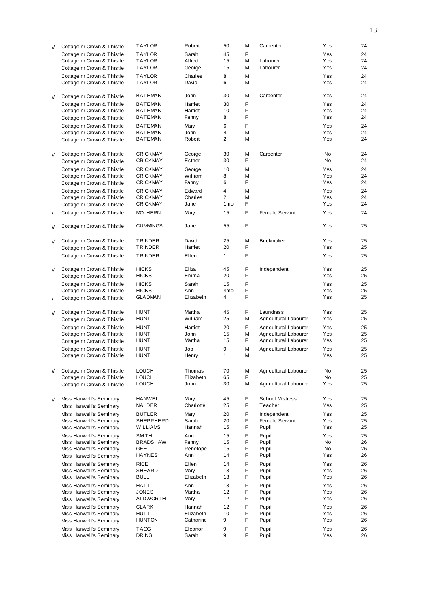| $^{\prime\prime}$ |                                                    |                             |                  |                 |        |                        |            |          |
|-------------------|----------------------------------------------------|-----------------------------|------------------|-----------------|--------|------------------------|------------|----------|
|                   | Cottage nr Crown & Thistle                         | <b>TAYLOR</b>               | Robert           | 50              | М      | Carpenter              | Yes        | 24       |
|                   | Cottage nr Crown & Thistle                         | <b>TAYLOR</b>               | Sarah            | 45              | F.     |                        | Yes        | 24       |
|                   | Cottage nr Crown & Thistle                         | <b>TAYLOR</b>               | Alfred           | 15              | М      | Labourer               | Yes        | 24       |
|                   |                                                    | <b>TAYLOR</b>               |                  | 15              | М      | Labourer               | Yes        | 24       |
|                   | Cottage nr Crown & Thistle                         |                             | George           |                 |        |                        |            |          |
|                   | Cottage nr Crown & Thistle                         | <b>TAYLOR</b>               | Charles          | 8               | М      |                        | Yes        | 24       |
|                   | Cottage nr Crown & Thistle                         | <b>TAYLOR</b>               | David            | 6               | M      |                        | Yes        | 24       |
|                   |                                                    |                             |                  |                 |        |                        |            |          |
|                   |                                                    | <b>BATEMAN</b>              | John             | 30              | М      |                        | Yes        | 24       |
| $^{\prime\prime}$ | Cottage nr Crown & Thistle                         |                             |                  |                 |        | Carpenter              |            |          |
|                   | Cottage nr Crown & Thistle                         | <b>BATEMAN</b>              | Harriet          | 30              | F      |                        | Yes        | 24       |
|                   | Cottage nr Crown & Thistle                         | <b>BATEMAN</b>              | Harriet          | 10              | F      |                        | Yes        | 24       |
|                   |                                                    | <b>BATEMAN</b>              | Fanny            | 8               | F      |                        | Yes        | 24       |
|                   | Cottage nr Crown & Thistle                         |                             |                  |                 |        |                        |            |          |
|                   | Cottage nr Crown & Thistle                         | <b>BATEMAN</b>              | Mary             | 6               | F      |                        | Yes        | 24       |
|                   | Cottage nr Crown & Thistle                         | <b>BATEMAN</b>              | John             | 4               | М      |                        | Yes        | 24       |
|                   | Cottage nr Crown & Thistle                         | <b>BATEMAN</b>              | Robert           | $\overline{2}$  | М      |                        | Yes        | 24       |
|                   |                                                    |                             |                  |                 |        |                        |            |          |
|                   |                                                    |                             |                  |                 |        |                        |            |          |
| $^{\prime\prime}$ | Cottage nr Crown & Thistle                         | <b>CRICKMAY</b>             | George           | 30              | M      | Carpenter              | <b>No</b>  | 24       |
|                   | Cottage nr Crown & Thistle                         | <b>CRICKMAY</b>             | Esther           | 30              | F.     |                        | <b>No</b>  | 24       |
|                   |                                                    |                             |                  |                 |        |                        |            |          |
|                   | Cottage nr Crown & Thistle                         | <b>CRICKMAY</b>             | George           | 10              | М      |                        | Yes        | 24       |
|                   | Cottage nr Crown & Thistle                         | <b>CRICKMAY</b>             | William          | 8               | М      |                        | Yes        | 24       |
|                   | Cottage nr Crown & Thistle                         | <b>CRICKMAY</b>             | Fanny            | 6               | F      |                        | Yes        | 24       |
|                   | Cottage nr Crown & Thistle                         | <b>CRICKMAY</b>             | Edward           | $\overline{4}$  | M      |                        | Yes        | 24       |
|                   |                                                    |                             |                  |                 |        |                        |            |          |
|                   | Cottage nr Crown & Thistle                         | <b>CRICKMAY</b>             | Charles          | $\overline{2}$  | M      |                        | Yes        | 24       |
|                   | Cottage nr Crown & Thistle                         | <b>CRICKMAY</b>             | Jane             | 1 <sub>mo</sub> | F      |                        | Yes        | 24       |
| $\prime$          | Cottage nr Crown & Thistle                         | <b>MOLHERN</b>              | Mary             | 15              | F.     | Female Servant         | Yes        | 24       |
|                   |                                                    |                             |                  |                 |        |                        |            |          |
|                   |                                                    |                             |                  |                 |        |                        |            |          |
| //                | Cottage nr Crown & Thistle                         | <b>CUMMINGS</b>             | Jane             | 55              | F      |                        | Yes        | 25       |
|                   |                                                    |                             |                  |                 |        |                        |            |          |
|                   | Cottage nr Crown & Thistle                         | <b>TRINDER</b>              | David            | 25              | M      | <b>Brickmaker</b>      | Yes        | 25       |
| //                |                                                    |                             |                  |                 |        |                        |            |          |
|                   | Cottage nr Crown & Thistle                         | TRINDER                     | Harriet          | 20              | F      |                        | Yes        | 25       |
|                   | Cottage nr Crown & Thistle                         | <b>TRINDER</b>              | Ellen            | $\mathbf{1}$    | F      |                        | Yes        | 25       |
|                   |                                                    |                             |                  |                 |        |                        |            |          |
|                   | Cottage nr Crown & Thistle                         | <b>HICKS</b>                | Eliza            | 45              | F      | Independent            | Yes        | 25       |
| $^{\prime\prime}$ |                                                    |                             |                  |                 |        |                        |            |          |
|                   | Cottage nr Crown & Thistle                         | <b>HICKS</b>                | Emma             | 20              | F      |                        | Yes        | 25       |
|                   | Cottage nr Crown & Thistle                         | <b>HICKS</b>                | Sarah            | 15              | F      |                        | Yes        | 25       |
|                   | Cottage nr Crown & Thistle                         | <b>HICKS</b>                | Ann              | 4 <sub>mo</sub> | F      |                        | Yes        | 25       |
|                   |                                                    | <b>GLADMAN</b>              | Elizabeth        | $\overline{4}$  | F      |                        | Yes        | 25       |
| $\prime$          | Cottage nr Crown & Thistle                         |                             |                  |                 |        |                        |            |          |
|                   |                                                    |                             |                  |                 |        |                        |            |          |
| $^{\prime\prime}$ | Cottage nr Crown & Thistle                         | <b>HUNT</b>                 | Martha           | 45              | F.     | Laundress              | Yes        | 25       |
|                   |                                                    |                             |                  |                 |        | Agricultural Labourer  |            |          |
|                   |                                                    |                             |                  |                 |        |                        |            |          |
|                   | Cottage nr Crown & Thistle                         | <b>HUNT</b>                 | William          | 25              | М      |                        | Yes        | 25       |
|                   | Cottage nr Crown & Thistle                         | <b>HUNT</b>                 | Harriet          | 20              | F.     | Agricultural Labourer  | Yes        | 25       |
|                   | Cottage nr Crown & Thistle                         | <b>HUNT</b>                 | John             | 15              | М      | Agricultural Labourer  | Yes        | 25       |
|                   |                                                    |                             | Martha           | 15              |        |                        | Yes        |          |
|                   | Cottage nr Crown & Thistle                         | <b>HUNT</b>                 |                  |                 | F      | Agricultural Labourer  |            | 25       |
|                   | Cottage nr Crown & Thistle                         | <b>HUNT</b>                 | Job              | 9               | M      | Agricultural Labourer  | Yes        | 25       |
|                   | Cottage nr Crown & Thistle                         | <b>HUNT</b>                 | Henry            | 1               | м      |                        | Yes        | 25       |
|                   |                                                    |                             |                  |                 |        |                        |            |          |
|                   |                                                    |                             |                  |                 |        |                        |            |          |
| 11                | Cottage nr Crown & Thistle                         | <b>LOUCH</b>                | Thomas           | 70              | М      | Agricultural Labourer  | No         | 25       |
|                   | Cottage nr Crown & Thistle                         | <b>LOUCH</b>                | Elizabeth        | 65              | F      |                        | No         | 25       |
|                   | Cottage nr Crown & Thistle                         | <b>LOUCH</b>                | John             | 30              | М      | Agricultural Labourer  | Yes        | 25       |
|                   |                                                    |                             |                  |                 |        |                        |            |          |
|                   |                                                    |                             |                  |                 |        |                        |            |          |
| $^{\prime\prime}$ | Miss Hanwell's Seminary                            | HANWELL                     | Mary             | 45              | F      | <b>School Mistress</b> | Yes        | 25       |
|                   | Miss Hanwell's Seminary                            | NALDER                      | Charlotte        | 25              | F      | Teacher                | Yes        | 25       |
|                   |                                                    |                             |                  |                 |        |                        |            |          |
|                   | Miss Hanwell's Seminary                            | <b>BUTLER</b>               | Mary             | 20              | F      | Independent            | Yes        | 25       |
|                   | Miss Hanwell's Seminary                            | SHEPPHERD                   | Sarah            | 20              | F      | Female Servant         | Yes        | 25       |
|                   | Miss Hanwell's Seminary                            | <b>WILLIAMS</b>             | Hannah           | 15              | F      | Pupil                  | Yes        | 25       |
|                   | Miss Hanwell's Seminary                            | <b>SMITH</b>                | Ann              | 15              | F      | Pupil                  | Yes        | 25       |
|                   |                                                    |                             | Fanny            | 15              | F      |                        | No         |          |
|                   | Miss Hanwell's Seminary                            | <b>BRADSHAW</b>             |                  |                 |        | Pupil                  |            | 26       |
|                   | Miss Hanwell's Seminary                            | <b>GEE</b>                  | Penelope         | 15              | F      | Pupil                  | No         | 26       |
|                   | Miss Hanwell's Seminary                            | <b>HAYNES</b>               | Ann              | 14              | F      | Pupil                  | Yes        | 26       |
|                   | Miss Hanwell's Seminary                            | <b>RICE</b>                 | Ellen            | 14              | F      | Pupil                  | Yes        | 26       |
|                   |                                                    |                             |                  |                 |        |                        |            |          |
|                   | Miss Hanwell's Seminary                            | SHEARD                      | Mary             | 13              | F      | Pupil                  | Yes        | 26       |
|                   | Miss Hanwell's Seminary                            | <b>BULL</b>                 | Elizabeth        | 13              | F      | Pupil                  | Yes        | 26       |
|                   | Miss Hanwell's Seminary                            | HATT                        | Ann              | 13              | F      | Pupil                  | Yes        | 26       |
|                   | Miss Hanwell's Seminary                            | <b>JONES</b>                | Martha           | 12              | F      | Pupil                  | Yes        | 26       |
|                   |                                                    |                             |                  | 12              | F      |                        |            | 26       |
|                   | Miss Hanwell's Seminary                            | ALDWORTH                    | Mary             |                 |        | Pupil                  | Yes        |          |
|                   | Miss Hanwell's Seminary                            | <b>CLARK</b>                | Hannah           | 12              | F      | Pupil                  | Yes        | 26       |
|                   | Miss Hanwell's Seminary                            | HUTT                        | Elizabeth        | 10              | F      | Pupil                  | Yes        | 26       |
|                   |                                                    | <b>HUNTON</b>               | Catharine        | 9               | F      | Pupil                  | Yes        | 26       |
|                   | Miss Hanwell's Seminary                            |                             |                  |                 |        |                        |            |          |
|                   | Miss Hanwell's Seminary<br>Miss Hanwell's Seminary | <b>TAGG</b><br><b>DRING</b> | Eleanor<br>Sarah | 9<br>9          | F<br>F | Pupil<br>Pupil         | Yes<br>Yes | 26<br>26 |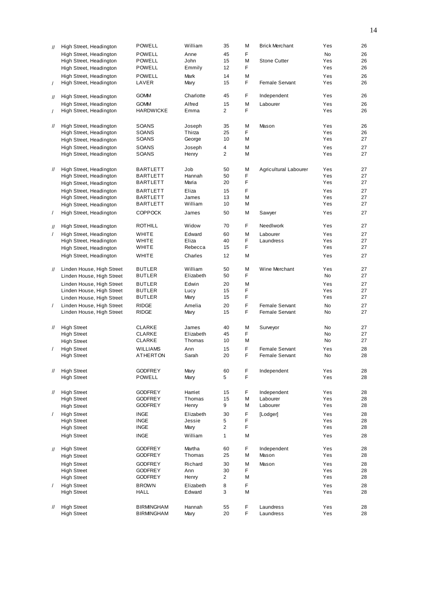| $^{\prime\prime}$ | High Street, Headington                  | <b>POWELL</b>                    | William           | 35             | M      | <b>Brick Merchant</b>   | Yes        | 26       |
|-------------------|------------------------------------------|----------------------------------|-------------------|----------------|--------|-------------------------|------------|----------|
|                   | High Street, Headington                  | <b>POWELL</b>                    | Anne              | 45             | F      |                         | <b>No</b>  | 26       |
|                   | High Street, Headington                  | POWELL                           | John              | 15             | M      | <b>Stone Cutter</b>     | Yes        | 26       |
|                   | High Street, Headington                  | POWELL                           | Emmily            | 12             | F      |                         | Yes        | 26       |
|                   | High Street, Headington                  | <b>POWELL</b>                    | Mark              | 14             | M      |                         | Yes        | 26       |
| $\prime$          | High Street, Headington                  | LAVER                            | Mary              | 15             | F.     | <b>Female Servant</b>   | Yes        | 26       |
| $^{\prime\prime}$ | High Street, Headington                  | <b>GOMM</b>                      | Charlotte         | 45             | F      | Independent             | Yes        | 26       |
|                   | High Street, Headington                  | <b>GOMM</b>                      | Alfred            | 15             | M      | Labourer                | Yes        | 26       |
| $\prime$          | High Street, Headington                  | <b>HARDWICKE</b>                 | Emma              | $\overline{2}$ | F      |                         | Yes        | 26       |
|                   |                                          |                                  |                   |                |        |                         |            |          |
| $^{\prime\prime}$ | High Street, Headington                  | SOANS                            | Joseph            | 35             | M      | Mason                   | Yes        | 26       |
|                   | High Street, Headington                  | SOANS                            | Thirza            | 25             | F.     |                         | Yes        | 26       |
|                   | High Street, Headington                  | SOANS                            | George            | 10             | М      |                         | Yes        | 27       |
|                   | High Street, Headington                  | SOANS                            | Joseph            | 4              | M      |                         | Yes        | 27       |
|                   | High Street, Headington                  | SOANS                            | Henry             | $\overline{2}$ | M      |                         | Yes        | 27       |
| $^{\prime\prime}$ | High Street, Headington                  | <b>BARTLETT</b>                  | Job               | 50             | M      | Agricultural Labourer   | Yes        | 27       |
|                   | High Street, Headington                  | <b>BARTLETT</b>                  | Hannah            | 50             | F      |                         | Yes        | 27       |
|                   | High Street, Headington                  | <b>BARTLETT</b>                  | Maria             | 20             | F      |                         | Yes        | 27       |
|                   | High Street, Headington                  | <b>BARTLETT</b>                  | Eliza             | 15             | F      |                         | Yes        | 27       |
|                   | High Street, Headington                  | BARTLETT                         | James             | 13             | M      |                         | Yes        | 27       |
|                   | High Street, Headington                  | BARTLETT                         | William           | 10             | M      |                         | Yes        | 27       |
| $\overline{1}$    | High Street, Headington                  | <b>COPPOCK</b>                   | James             | 50             | М      | Sawyer                  | Yes        | 27       |
|                   |                                          |                                  |                   |                |        |                         |            |          |
| $^{\prime\prime}$ | High Street, Headington                  | <b>ROTHILL</b>                   | Widow             | 70             | F      | Needlwork               | Yes        | 27       |
| $\overline{1}$    | High Street, Headington                  | <b>WHITE</b>                     | Edward            | 60             | M      | Labourer                | Yes        | 27       |
|                   | High Street, Headington                  | WHITE                            | Eliza             | 40             | F      | Laundress               | Yes        | 27       |
|                   | High Street, Headington                  | WHITE                            | Rebecca           | 15             | F      |                         | Yes        | 27       |
|                   | High Street, Headington                  | <b>WHITE</b>                     | Charles           | 12             | M      |                         | Yes        | 27       |
| $\frac{1}{2}$     | Linden House, High Street                | <b>BUTLER</b>                    | William           | 50             | M      | Wine Merchant           | Yes        | 27       |
|                   | Linden House, High Street                | <b>BUTLER</b>                    | Elizabeth         | 50             | F      |                         | <b>No</b>  | 27       |
|                   | Linden House, High Street                | <b>BUTLER</b>                    | Edwin             | 20             | M      |                         | Yes        | 27       |
|                   | Linden House, High Street                | <b>BUTLER</b>                    | Lucy              | 15             | F      |                         | Yes        | 27       |
|                   | Linden House, High Street                | <b>BUTLER</b>                    | Mary              | 15             | F      |                         | Yes        | 27       |
| $\prime$          | Linden House, High Street                | <b>RIDGE</b>                     | Amelia            | 20             | F      | Female Servant          | <b>No</b>  | 27       |
|                   | Linden House, High Street                | <b>RIDGE</b>                     | Mary              | 15             | F.     | Female Servant          | No         | 27       |
|                   | <b>High Street</b>                       |                                  | James             |                |        |                         |            |          |
| $^{\prime\prime}$ | <b>High Street</b>                       | <b>CLARKE</b><br><b>CLARKE</b>   | Elizabeth         | 40<br>45       | M<br>F | Surveyor                | No<br>No   | 27<br>27 |
|                   | <b>High Street</b>                       | <b>CLARKE</b>                    | Thomas            | 10             | M      |                         | <b>No</b>  | 27       |
| $\prime$          | <b>High Street</b>                       | <b>WILLIAMS</b>                  | Ann               | 15             | F      | <b>Female Servant</b>   | Yes        | 28       |
|                   | <b>High Street</b>                       | <b>ATHERTON</b>                  | Sarah             | 20             | F.     | <b>Female Servant</b>   | <b>No</b>  | 28       |
|                   |                                          |                                  |                   |                |        |                         |            |          |
| $^{\prime\prime}$ | <b>High Street</b>                       | <b>GODFREY</b>                   | Mary              | 60             | F      | Independent             | Yes        | 28       |
|                   | <b>High Street</b>                       | <b>POWELL</b>                    | Mary              | 5              | F      |                         | Yes        | 28       |
|                   |                                          |                                  |                   |                | F      |                         |            |          |
| $^{\prime\prime}$ | <b>High Street</b><br><b>High Street</b> | <b>GODFREY</b><br><b>GODFREY</b> | Harriet<br>Thomas | 15<br>15       | М      | Independent<br>Labourer | Yes<br>Yes | 28<br>28 |
|                   | <b>High Street</b>                       | <b>GODFREY</b>                   | Henry             | 9              | М      | Labourer                | Yes        | 28       |
| $\prime$          | <b>High Street</b>                       | <b>INGE</b>                      | Elizabeth         | 30             | F      | [Lodger]                | Yes        | 28       |
|                   | <b>High Street</b>                       | <b>INGE</b>                      | Jessie            | 5              | F      |                         | Yes        | 28       |
|                   | <b>High Street</b>                       | <b>INGE</b>                      | Mary              | $\overline{2}$ | F      |                         | Yes        | 28       |
|                   | <b>High Street</b>                       | <b>INGE</b>                      | William           | $\mathbf{1}$   | М      |                         | Yes        | 28       |
|                   |                                          |                                  |                   |                |        |                         |            |          |
| $^{\prime\prime}$ | <b>High Street</b>                       | <b>GODFREY</b>                   | Martha            | 60             | F      | Independent             | Yes        | 28       |
|                   | <b>High Street</b>                       | <b>GODFREY</b>                   | Thomas            | 25             | М      | Mason                   | Yes        | 28       |
|                   | <b>High Street</b>                       | <b>GODFREY</b>                   | Richard           | 30             | М      | Mason                   | Yes        | 28       |
|                   | <b>High Street</b>                       | <b>GODFREY</b>                   | Ann               | 30             | F      |                         | Yes        | 28       |
|                   | <b>High Street</b>                       | <b>GODFREY</b>                   | Henry             | $\overline{2}$ | М      |                         | Yes        | 28       |
| $\prime$          | <b>High Street</b>                       | <b>BROWN</b>                     | Elizabeth         | 8              | F      |                         | Yes        | 28       |
|                   | <b>High Street</b>                       | HALL                             | Edward            | 3              | М      |                         | Yes        | 28       |
| $^{\prime\prime}$ | <b>High Street</b>                       | <b>BIRMINGHAM</b>                | Hannah            | 55             | F      | Laundress               | Yes        | 28       |
|                   | <b>High Street</b>                       | <b>BIRMINGHAM</b>                | Mary              | 20             | F      | Laundress               | Yes        | 28       |
|                   |                                          |                                  |                   |                |        |                         |            |          |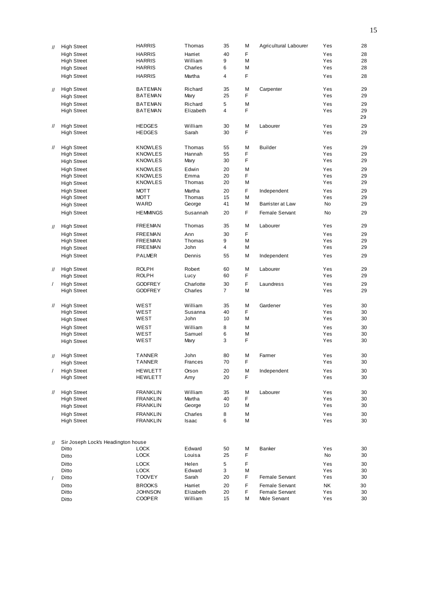|                   |                                    | <b>HARRIS</b>   | Thomas         |                |    |                       |     | 28 |
|-------------------|------------------------------------|-----------------|----------------|----------------|----|-----------------------|-----|----|
| $\prime\prime$    | <b>High Street</b>                 |                 |                | 35             | M  | Agricultural Labourer | Yes |    |
|                   | <b>High Street</b>                 | <b>HARRIS</b>   | Harriet        | 40             | F. |                       | Yes | 28 |
|                   | <b>High Street</b>                 | <b>HARRIS</b>   | William        | 9              | M  |                       | Yes | 28 |
|                   | <b>High Street</b>                 | <b>HARRIS</b>   | Charles        | 6              | M  |                       | Yes | 28 |
|                   | <b>High Street</b>                 | <b>HARRIS</b>   | Martha         | 4              | F  |                       | Yes | 28 |
|                   |                                    |                 |                |                |    |                       |     |    |
|                   | <b>High Street</b>                 | <b>BATEMAN</b>  | Richard        | 35             | M  | Carpenter             | Yes | 29 |
| $^{\prime\prime}$ |                                    | <b>BATEMAN</b>  |                | 25             | F  |                       | Yes | 29 |
|                   | <b>High Street</b>                 |                 | Mary           |                |    |                       |     |    |
|                   | <b>High Street</b>                 | <b>BATEMAN</b>  | Richard        | 5              | M  |                       | Yes | 29 |
|                   | <b>High Street</b>                 | <b>BATEMAN</b>  | Elizabeth      | 4              | F  |                       | Yes | 29 |
|                   |                                    |                 |                |                |    |                       |     | 29 |
| $^{\prime\prime}$ | <b>High Street</b>                 | <b>HEDGES</b>   | William        | 30             | M  | Labourer              | Yes | 29 |
|                   | <b>High Street</b>                 | <b>HEDGES</b>   | Sarah          | 30             | F. |                       | Yes | 29 |
|                   |                                    |                 |                |                |    |                       |     |    |
|                   |                                    |                 |                |                |    |                       |     |    |
| $^{\prime\prime}$ | <b>High Street</b>                 | <b>KNOWLES</b>  | Thomas         | 55             | M  | <b>Builder</b>        | Yes | 29 |
|                   | <b>High Street</b>                 | <b>KNOWLES</b>  | Hannah         | 55             | F  |                       | Yes | 29 |
|                   | <b>High Street</b>                 | <b>KNOWLES</b>  | Mary           | 30             | F  |                       | Yes | 29 |
|                   | <b>High Street</b>                 | <b>KNOWLES</b>  | Edwin          | 20             | M  |                       | Yes | 29 |
|                   | <b>High Street</b>                 | <b>KNOWLES</b>  | Emma           | 20             | F  |                       | Yes | 29 |
|                   | <b>High Street</b>                 | <b>KNOWLES</b>  | Thomas         | 20             | M  |                       | Yes | 29 |
|                   |                                    |                 |                |                |    |                       |     |    |
|                   | <b>High Street</b>                 | <b>MOTT</b>     | Martha         | 20             | F  | Independent           | Yes | 29 |
|                   | <b>High Street</b>                 | <b>MOTT</b>     | Thomas         | 15             | M  |                       | Yes | 29 |
|                   | <b>High Street</b>                 | WARD            | George         | 41             | M  | Barrister at Law      | No  | 29 |
|                   | <b>High Street</b>                 | <b>HEMMINGS</b> | Susannah       | 20             | F  | Female Servant        | No  | 29 |
|                   |                                    |                 |                |                |    |                       |     |    |
| $^{\prime\prime}$ | <b>High Street</b>                 | <b>FREEMAN</b>  | Thomas         | 35             | М  | Labourer              | Yes | 29 |
|                   |                                    |                 |                |                |    |                       |     |    |
|                   | <b>High Street</b>                 | <b>FREEMAN</b>  | Ann            | 30             | F  |                       | Yes | 29 |
|                   | <b>High Street</b>                 | <b>FREEMAN</b>  | Thomas         | 9              | M  |                       | Yes | 29 |
|                   | <b>High Street</b>                 | <b>FREEMAN</b>  | John           | 4              | М  |                       | Yes | 29 |
|                   | <b>High Street</b>                 | <b>PALMER</b>   | Dennis         | 55             | M  | Independent           | Yes | 29 |
|                   |                                    |                 |                |                |    |                       |     |    |
| $\mathcal{U}$     | <b>High Street</b>                 | <b>ROLPH</b>    | Robert         | 60             | M  | Labourer              | Yes | 29 |
|                   | <b>High Street</b>                 | <b>ROLPH</b>    | Lucy           | 60             | F  |                       | Yes | 29 |
| $\prime$          |                                    | <b>GODFREY</b>  | Charlotte      | 30             | F  | Laundress             | Yes | 29 |
|                   | <b>High Street</b>                 |                 | Charles        | $\overline{7}$ |    |                       |     |    |
|                   | <b>High Street</b>                 | <b>GODFREY</b>  |                |                | M  |                       | Yes | 29 |
|                   |                                    |                 |                |                |    |                       |     |    |
| $^{\prime\prime}$ | <b>High Street</b>                 | WEST            | William        | 35             | M  | Gardener              | Yes | 30 |
|                   | <b>High Street</b>                 | WEST            | Susanna        | 40             | F. |                       | Yes | 30 |
|                   | <b>High Street</b>                 | WEST            | John           | 10             | М  |                       | Yes | 30 |
|                   | <b>High Street</b>                 | WEST            | William        | 8              | M  |                       | Yes | 30 |
|                   | <b>High Street</b>                 | WEST            | Samuel         | 6              | М  |                       | Yes | 30 |
|                   |                                    | WEST            | Mary           | 3              | F  |                       | Yes | 30 |
|                   | <b>High Street</b>                 |                 |                |                |    |                       |     |    |
|                   |                                    |                 |                |                |    |                       |     |    |
| $^{\prime\prime}$ | <b>High Street</b>                 | <b>TANNER</b>   | John           | 80             | M  | Farmer                | Yes | 30 |
|                   | <b>High Street</b>                 | TANNER          | <b>Frances</b> | 70             | F  |                       | Yes | 30 |
|                   | <b>High Street</b>                 | <b>HEWLETT</b>  | Orson          | 20             | M  | Independent           | Yes | 30 |
|                   | <b>High Street</b>                 | <b>HEWLETT</b>  | Amy            | 20             | F  |                       | Yes | 30 |
|                   |                                    |                 |                |                |    |                       |     |    |
|                   |                                    |                 |                |                |    |                       |     |    |
| $^{\prime\prime}$ | <b>High Street</b>                 | <b>FRANKLIN</b> | William        | 35             | M  | Labourer              | Yes | 30 |
|                   | <b>High Street</b>                 | <b>FRANKLIN</b> | Martha         | 40             | F  |                       | Yes | 30 |
|                   | <b>High Street</b>                 | <b>FRANKLIN</b> | George         | 10             | М  |                       | Yes | 30 |
|                   | <b>High Street</b>                 | <b>FRANKLIN</b> | Charles        | 8              | М  |                       | Yes | 30 |
|                   | <b>High Street</b>                 | <b>FRANKLIN</b> | Isaac          | 6              | М  |                       | Yes | 30 |
|                   |                                    |                 |                |                |    |                       |     |    |
|                   |                                    |                 |                |                |    |                       |     |    |
|                   | Sir Joseph Lock's Headington house |                 |                |                |    |                       |     |    |
| $\mathcal{U}$     |                                    |                 |                |                |    | <b>Banker</b>         |     |    |
|                   | Ditto                              | <b>LOCK</b>     | Edward         | 50             | M  |                       | Yes | 30 |
|                   | Ditto                              | <b>LOCK</b>     | Louisa         | 25             | F  |                       | No  | 30 |
|                   | Ditto                              | <b>LOCK</b>     | Helen          | 5              | F  |                       | Yes | 30 |
|                   | Ditto                              | <b>LOCK</b>     | Edward         | 3              | M  |                       | Yes | 30 |
|                   | Ditto                              | <b>TOOVEY</b>   | Sarah          | 20             | F  | Female Servant        | Yes | 30 |
|                   | Ditto                              | <b>BROOKS</b>   | Harriet        | 20             | F  | Female Servant        | NΚ  | 30 |
|                   |                                    |                 |                | 20             | F  |                       | Yes |    |
|                   | Ditto                              | <b>JOHNSON</b>  | Elizabeth      |                |    | Female Servant        |     | 30 |
|                   | Ditto                              | <b>COOPER</b>   | William        | 15             | М  | Male Servant          | Yes | 30 |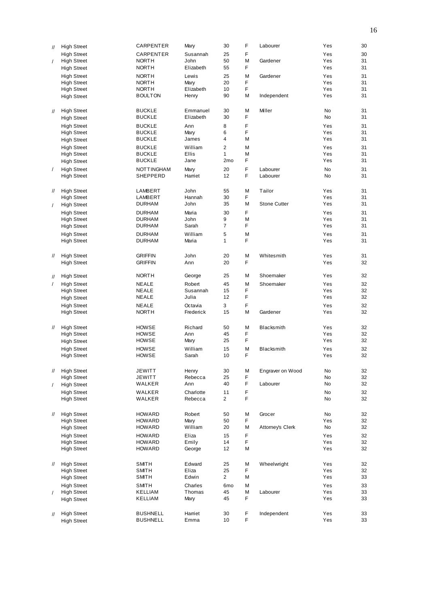|                   | <b>High Street</b> | CARPENTER      | Mary      | 30              | F | Labourer          | Yes | 30 |
|-------------------|--------------------|----------------|-----------|-----------------|---|-------------------|-----|----|
| $^{\prime\prime}$ |                    |                |           |                 |   |                   |     |    |
|                   | <b>High Street</b> | CARPENTER      | Susannah  | 25              | F |                   | Yes | 30 |
| $\prime$          | <b>High Street</b> | <b>NORTH</b>   | John      | 50              | M | Gardener          | Yes | 31 |
|                   | <b>High Street</b> | <b>NORTH</b>   | Elizabeth | 55              | F |                   | Yes | 31 |
|                   | <b>High Street</b> | <b>NORTH</b>   | Lewis     | 25              | M | Gardener          | Yes | 31 |
|                   | <b>High Street</b> | <b>NORTH</b>   | Mary      | 20              | F |                   | Yes | 31 |
|                   | <b>High Street</b> | <b>NORTH</b>   | Elizabeth | 10              | F |                   | Yes | 31 |
|                   | <b>High Street</b> | <b>BOULTON</b> | Henry     | 90              | М | Independent       | Yes | 31 |
|                   |                    |                |           |                 |   |                   |     |    |
|                   | <b>High Street</b> | <b>BUCKLE</b>  | Emmanuel  | 30              | M | Miller            | No  | 31 |
| $^{\prime\prime}$ |                    | <b>BUCKLE</b>  | Elizabeth | 30              | F |                   | No  | 31 |
|                   | <b>High Street</b> |                |           |                 |   |                   |     |    |
|                   | <b>High Street</b> | <b>BUCKLE</b>  | Ann       | 8               | F |                   | Yes | 31 |
|                   | <b>High Street</b> | <b>BUCKLE</b>  | Mary      | 6               | F |                   | Yes | 31 |
|                   | <b>High Street</b> | <b>BUCKLE</b>  | James     | $\overline{4}$  | М |                   | Yes | 31 |
|                   | <b>High Street</b> | <b>BUCKLE</b>  | William   | $\overline{2}$  | M |                   | Yes | 31 |
|                   | <b>High Street</b> | <b>BUCKLE</b>  | Ellis     | $\mathbf{1}$    | М |                   | Yes | 31 |
|                   | <b>High Street</b> | <b>BUCKLE</b>  | Jane      | 2 <sub>mo</sub> | F |                   | Yes | 31 |
|                   |                    |                |           |                 | F |                   |     |    |
| $\sqrt{2}$        | <b>High Street</b> | NOTTINGHAM     | Mary      | 20              |   | Labourer          | No  | 31 |
|                   | <b>High Street</b> | SHEPPERD       | Harriet   | 12              | F | Labourer          | No  | 31 |
|                   |                    |                |           |                 |   |                   |     |    |
| $^{\prime\prime}$ | <b>High Street</b> | LAMBERT        | John      | 55              | M | Tailor            | Yes | 31 |
|                   | <b>High Street</b> | LAMBERT        | Hannah    | 30              | F |                   | Yes | 31 |
| $\prime$          | <b>High Street</b> | <b>DURHAM</b>  | John      | 35              | M | Stone Cutter      | Yes | 31 |
|                   | <b>High Street</b> | <b>DURHAM</b>  | Maria     | 30              | F |                   | Yes | 31 |
|                   | <b>High Street</b> | <b>DURHAM</b>  | John      | 9               | М |                   | Yes | 31 |
|                   | <b>High Street</b> | <b>DURHAM</b>  | Sarah     | $\overline{7}$  | F |                   | Yes | 31 |
|                   |                    |                |           |                 |   |                   |     |    |
|                   | <b>High Street</b> | <b>DURHAM</b>  | William   | 5               | М |                   | Yes | 31 |
|                   | <b>High Street</b> | <b>DURHAM</b>  | Maria     | $\mathbf{1}$    | F |                   | Yes | 31 |
|                   |                    |                |           |                 |   |                   |     |    |
| $^{\prime\prime}$ | <b>High Street</b> | <b>GRIFFIN</b> | John      | 20              | М | Whitesmith        | Yes | 31 |
|                   | <b>High Street</b> | <b>GRIFFIN</b> | Ann       | 20              | F |                   | Yes | 32 |
|                   |                    |                |           |                 |   |                   |     |    |
| $^{\prime\prime}$ | <b>High Street</b> | <b>NORTH</b>   | George    | 25              | M | Shoemaker         | Yes | 32 |
|                   |                    |                | Robert    | 45              | М | Shoemaker         | Yes |    |
| $\prime$          | <b>High Street</b> | NEALE          |           |                 | F |                   |     | 32 |
|                   | <b>High Street</b> | NEALE          | Susannah  | 15              |   |                   | Yes | 32 |
|                   | <b>High Street</b> | <b>NEALE</b>   | Julia     | 12              | F |                   | Yes | 32 |
|                   | <b>High Street</b> | <b>NEALE</b>   | Octavia   | 3               | F |                   | Yes | 32 |
|                   | <b>High Street</b> | <b>NORTH</b>   | Frederick | 15              | М | Gardener          | Yes | 32 |
|                   |                    |                |           |                 |   |                   |     |    |
| $^{\prime\prime}$ | <b>High Street</b> | HOWSE          | Richard   | 50              | M | Blacksmith        | Yes | 32 |
|                   | <b>High Street</b> | <b>HOWSE</b>   | Ann       | 45              | F |                   | Yes | 32 |
|                   | <b>High Street</b> | <b>HOWSE</b>   | Mary      | 25              | F |                   | Yes | 32 |
|                   |                    |                |           |                 |   |                   |     |    |
|                   | <b>High Street</b> | <b>HOWSE</b>   | William   | 15              | M | <b>Blacksmith</b> | Yes | 32 |
|                   | <b>High Street</b> | <b>HOWSE</b>   | Sarah     | 10              | F |                   | Yes | 32 |
|                   |                    |                |           |                 |   |                   |     |    |
| $^{\prime\prime}$ | <b>High Street</b> | JEWITT         | Henry     | 30              | M | Engraver on Wood  | No  | 32 |
|                   | <b>High Street</b> | JEWITT         | Rebecca   | 25              | F |                   | No  | 32 |
| $\prime$          | <b>High Street</b> | WALKER         | Ann       | 40              | F | Labourer          | No  | 32 |
|                   | <b>High Street</b> | WALKER         | Charlotte | 11              | F |                   | No  | 32 |
|                   | <b>High Street</b> | WALKER         | Rebecca   | $\overline{2}$  | F |                   | No  | 32 |
|                   |                    |                |           |                 |   |                   |     |    |
|                   |                    |                |           |                 |   |                   |     |    |
| $^{\prime\prime}$ | <b>High Street</b> | <b>HOWARD</b>  | Robert    | 50              | М | Grocer            | No  | 32 |
|                   | <b>High Street</b> | <b>HOWARD</b>  | Mary      | 50              | F |                   | Yes | 32 |
|                   | <b>High Street</b> | HOWARD         | William   | 20              | М | Attomey's Clerk   | No  | 32 |
|                   | <b>High Street</b> | <b>HOWARD</b>  | Eliza     | 15              | F |                   | Yes | 32 |
|                   | <b>High Street</b> | <b>HOWARD</b>  | Emily     | 14              | F |                   | Yes | 32 |
|                   | <b>High Street</b> | HOWARD         | George    | 12              | М |                   | Yes | 32 |
|                   |                    |                |           |                 |   |                   |     |    |
| $^{\prime\prime}$ | <b>High Street</b> | <b>SMITH</b>   | Edward    | 25              | M |                   | Yes |    |
|                   |                    |                |           |                 | F | Wheelwright       |     | 32 |
|                   | <b>High Street</b> | SMITH          | Eliza     | 25              |   |                   | Yes | 32 |
|                   | <b>High Street</b> | SMITH          | Edwin     | $\overline{2}$  | М |                   | Yes | 33 |
|                   | <b>High Street</b> | SMITH          | Charles   | 6 <sub>mo</sub> | M |                   | Yes | 33 |
| $\prime$          | <b>High Street</b> | KELLIAM        | Thomas    | 45              | М | Labourer          | Yes | 33 |
|                   | <b>High Street</b> | KELLIAM        | Mary      | 45              | F |                   | Yes | 33 |
|                   |                    |                |           |                 |   |                   |     |    |
| $^{\prime\prime}$ | <b>High Street</b> | BUSHNELL       | Harriet   | 30              | F | Independent       | Yes | 33 |
|                   | <b>High Street</b> | BUSHNELL       | Emma      | 10              | F |                   | Yes | 33 |
|                   |                    |                |           |                 |   |                   |     |    |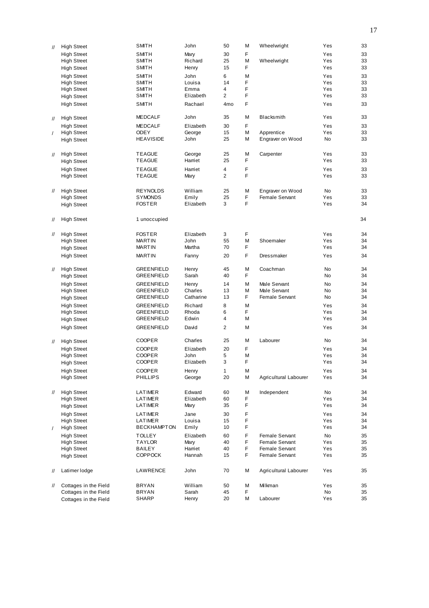| $^{\prime\prime}$ | <b>High Street</b>    | <b>SMITH</b>       | John      | 50              | М | Wheelwright           | Yes | 33 |
|-------------------|-----------------------|--------------------|-----------|-----------------|---|-----------------------|-----|----|
|                   | <b>High Street</b>    | <b>SMITH</b>       | Mary      | 30              | F |                       | Yes | 33 |
|                   | <b>High Street</b>    | SMITH              | Richard   | 25              | M | Wheelwright           | Yes | 33 |
|                   |                       | SMITH              | Henry     | 15              | F |                       | Yes | 33 |
|                   | <b>High Street</b>    |                    |           |                 |   |                       |     |    |
|                   | <b>High Street</b>    | SMITH              | John      | 6               | M |                       | Yes | 33 |
|                   | <b>High Street</b>    | SMITH              | Louisa    | 14              | F |                       | Yes | 33 |
|                   | <b>High Street</b>    | SMITH              | Emma      | 4               | F |                       | Yes | 33 |
|                   |                       | SMITH              | Elizabeth | $\overline{2}$  | F |                       | Yes | 33 |
|                   | <b>High Street</b>    |                    |           |                 |   |                       |     |    |
|                   | <b>High Street</b>    | <b>SMITH</b>       | Rachael   | 4 <sub>mo</sub> | F |                       | Yes | 33 |
|                   |                       |                    |           |                 |   |                       |     |    |
|                   | <b>High Street</b>    | <b>MEDCALF</b>     | John      | 35              | M | Blacksmith            | Yes | 33 |
| $^{\prime\prime}$ |                       |                    |           |                 |   |                       |     |    |
|                   | <b>High Street</b>    | <b>MEDCALF</b>     | Elizabeth | 30              | F |                       | Yes | 33 |
| $\sqrt{2}$        | <b>High Street</b>    | <b>ODEY</b>        | George    | 15              | M | Apprentice            | Yes | 33 |
|                   | <b>High Street</b>    | <b>HEAVISIDE</b>   | John      | 25              | М | Engraver on Wood      | No  | 33 |
|                   |                       |                    |           |                 |   |                       |     |    |
|                   |                       |                    |           |                 |   |                       |     |    |
| $^{\prime\prime}$ | <b>High Street</b>    | <b>TEAGUE</b>      | George    | 25              | М | Carpenter             | Yes | 33 |
|                   | <b>High Street</b>    | <b>TEAGUE</b>      | Harriet   | 25              | F |                       | Yes | 33 |
|                   |                       | <b>TEAGUE</b>      | Harriet   | 4               | F |                       | Yes | 33 |
|                   | <b>High Street</b>    |                    |           |                 |   |                       |     |    |
|                   | <b>High Street</b>    | <b>TEAGUE</b>      | Mary      | 2               | F |                       | Yes | 33 |
|                   |                       |                    |           |                 |   |                       |     |    |
| $^{\prime\prime}$ | <b>High Street</b>    | <b>REYNOLDS</b>    | William   | 25              | M | Engraver on Wood      | No  | 33 |
|                   |                       |                    |           |                 |   |                       |     |    |
|                   | <b>High Street</b>    | <b>SYMONDS</b>     | Emily     | 25              | F | Female Servant        | Yes | 33 |
|                   | <b>High Street</b>    | <b>FOSTER</b>      | Elizabeth | 3               | F |                       | Yes | 34 |
|                   |                       |                    |           |                 |   |                       |     |    |
|                   | <b>High Street</b>    | 1 unoccupied       |           |                 |   |                       |     | 34 |
| 11                |                       |                    |           |                 |   |                       |     |    |
|                   |                       |                    |           |                 |   |                       |     |    |
| $^{\prime\prime}$ | <b>High Street</b>    | <b>FOSTER</b>      | Elizabeth | 3               | F |                       | Yes | 34 |
|                   | <b>High Street</b>    | <b>MARTIN</b>      | John      | 55              | М | Shoemaker             | Yes | 34 |
|                   |                       |                    | Martha    | 70              | F |                       | Yes |    |
|                   | <b>High Street</b>    | <b>MARTIN</b>      |           |                 |   |                       |     | 34 |
|                   | <b>High Street</b>    | <b>MARTIN</b>      | Fanny     | 20              | F | Dressmaker            | Yes | 34 |
|                   |                       |                    |           |                 |   |                       |     |    |
| $\mathcal{U}$     | <b>High Street</b>    | <b>GREENFIELD</b>  | Henry     | 45              | M | Coachman              | No  | 34 |
|                   |                       |                    | Sarah     |                 | F |                       |     | 34 |
|                   | <b>High Street</b>    | GREENFIELD         |           | 40              |   |                       | No  |    |
|                   | <b>High Street</b>    | GREENFIELD         | Henry     | 14              | M | Male Servant          | No  | 34 |
|                   | <b>High Street</b>    | <b>GREENFIELD</b>  | Charles   | 13              | М | Male Servant          | No  | 34 |
|                   |                       | GREENFIELD         | Catharine | 13              | F | Female Servant        | No  | 34 |
|                   | <b>High Street</b>    |                    |           |                 |   |                       |     |    |
|                   | <b>High Street</b>    | <b>GREENFIELD</b>  | Richard   | 8               | M |                       | Yes | 34 |
|                   | <b>High Street</b>    | GREENFIELD         | Rhoda     | 6               | F |                       | Yes | 34 |
|                   | <b>High Street</b>    | GREENFIELD         | Edwin     | 4               | М |                       | Yes | 34 |
|                   |                       |                    |           |                 |   |                       |     |    |
|                   | <b>High Street</b>    | <b>GREENFIELD</b>  | David     | 2               | M |                       | Yes | 34 |
|                   |                       |                    |           |                 |   |                       |     |    |
| $^{\prime\prime}$ | <b>High Street</b>    | <b>COOPER</b>      | Charles   | 25              | М | Labourer              | No  | 34 |
|                   |                       |                    |           |                 |   |                       |     |    |
|                   | <b>High Street</b>    | <b>COOPER</b>      | Elizabeth | 20              | F |                       | Yes | 34 |
|                   | <b>High Street</b>    | <b>COOPER</b>      | John      | 5               | M |                       | Yes | 34 |
|                   | <b>High Street</b>    | <b>COOPER</b>      | Elizabeth | 3               | F |                       | Yes | 34 |
|                   |                       |                    |           | $\mathbf{1}$    | М |                       | Yes |    |
|                   | <b>High Street</b>    | <b>COOPER</b>      | Henry     |                 |   |                       |     | 34 |
|                   | <b>High Street</b>    | <b>PHILLIPS</b>    | George    | 20              | М | Agricultural Labourer | Yes | 34 |
|                   |                       |                    |           |                 |   |                       |     |    |
| $^{\prime\prime}$ | <b>High Street</b>    | LATIMER            | Edward    | 60              | М | Independent           | No  | 34 |
|                   |                       |                    |           |                 |   |                       |     |    |
|                   | <b>High Street</b>    | LATIMER            | Elizabeth | 60              | F |                       | Yes | 34 |
|                   | <b>High Street</b>    | LATIMER            | Mary      | 35              | F |                       | Yes | 34 |
|                   | <b>High Street</b>    | LATIMER            | Jane      | 30              | F |                       | Yes | 34 |
|                   | <b>High Street</b>    | LATIMER            | Louisa    | 15              | F |                       | Yes | 34 |
|                   |                       |                    |           |                 |   |                       |     |    |
| $\prime$          | <b>High Street</b>    | <b>BECKHAMPTON</b> | Emily     | 10              | F |                       | Yes | 34 |
|                   | <b>High Street</b>    | <b>TOLLEY</b>      | Elizabeth | 60              | F | Female Servant        | No  | 35 |
|                   | <b>High Street</b>    | <b>TAYLOR</b>      | Mary      | 40              | F | Female Servant        | Yes | 35 |
|                   | <b>High Street</b>    | <b>BAILEY</b>      | Harriet   | 40              | F | Female Servant        | Yes | 35 |
|                   |                       |                    |           |                 | F |                       |     |    |
|                   | <b>High Street</b>    | <b>COPPOCK</b>     | Hannah    | 15              |   | Female Servant        | Yes | 35 |
|                   |                       |                    |           |                 |   |                       |     |    |
| 11                | Latimer lodge         | LAWRENCE           | John      | 70              | М | Agricultural Labourer | Yes | 35 |
|                   |                       |                    |           |                 |   |                       |     |    |
|                   |                       |                    |           |                 |   |                       |     |    |
| 11                | Cottages in the Field | <b>BRYAN</b>       | William   | 50              | М | Milkman               | Yes | 35 |
|                   | Cottages in the Field | <b>BRYAN</b>       | Sarah     | 45              | F |                       | No  | 35 |
|                   | Cottages in the Field | SHARP              | Henry     | 20              | Μ | Labourer              | Yes | 35 |
|                   |                       |                    |           |                 |   |                       |     |    |